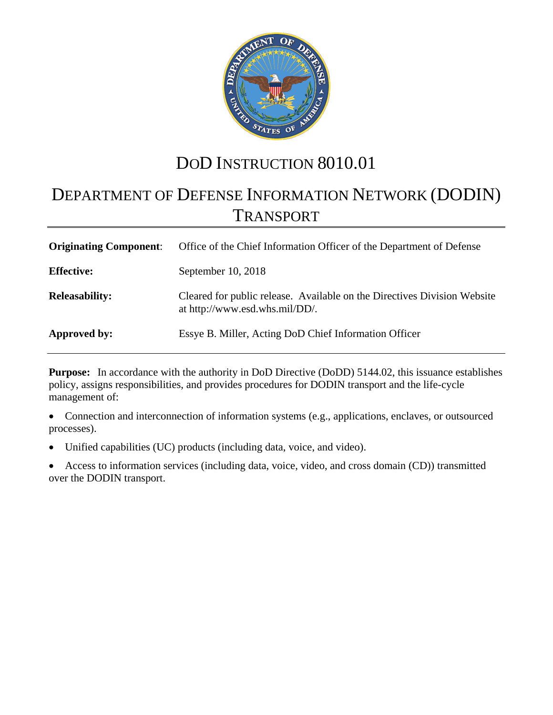

# DOD INSTRUCTION 8010.01

# DEPARTMENT OF DEFENSE INFORMATION NETWORK (DODIN) TRANSPORT

| <b>Originating Component:</b> | Office of the Chief Information Officer of the Department of Defense                                       |
|-------------------------------|------------------------------------------------------------------------------------------------------------|
| <b>Effective:</b>             | September 10, 2018                                                                                         |
| <b>Releasability:</b>         | Cleared for public release. Available on the Directives Division Website<br>at http://www.esd.whs.mil/DD/. |
| Approved by:                  | Essye B. Miller, Acting DoD Chief Information Officer                                                      |

**Purpose:** In accordance with the authority in DoD Directive (DoDD) 5144.02, this issuance establishes policy, assigns responsibilities, and provides procedures for DODIN transport and the life-cycle management of:

• Connection and interconnection of information systems (e.g., applications, enclaves, or outsourced processes).

Unified capabilities (UC) products (including data, voice, and video).

• Access to information services (including data, voice, video, and cross domain (CD)) transmitted over the DODIN transport.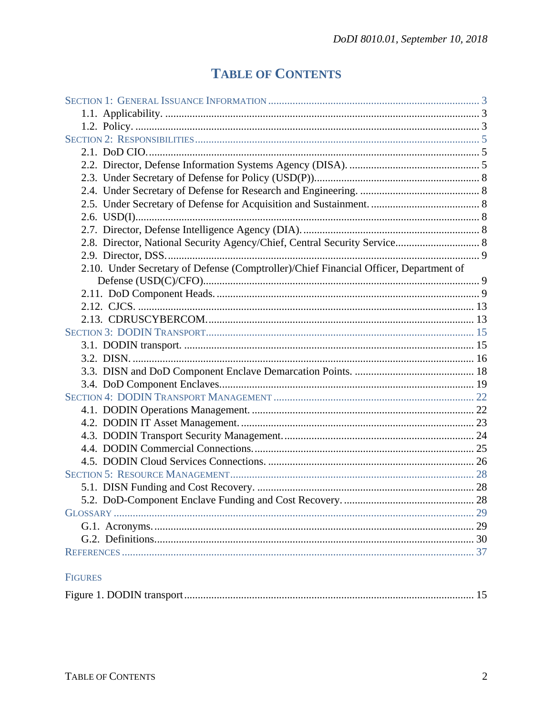# **TABLE OF CONTENTS**

| 2.8. Director, National Security Agency/Chief, Central Security Service 8             |  |
|---------------------------------------------------------------------------------------|--|
|                                                                                       |  |
| 2.10. Under Secretary of Defense (Comptroller)/Chief Financial Officer, Department of |  |
|                                                                                       |  |
|                                                                                       |  |
|                                                                                       |  |
|                                                                                       |  |
|                                                                                       |  |
|                                                                                       |  |
|                                                                                       |  |
|                                                                                       |  |
|                                                                                       |  |
|                                                                                       |  |
|                                                                                       |  |
|                                                                                       |  |
|                                                                                       |  |
|                                                                                       |  |
|                                                                                       |  |
|                                                                                       |  |
|                                                                                       |  |
|                                                                                       |  |
|                                                                                       |  |
|                                                                                       |  |
|                                                                                       |  |
|                                                                                       |  |
|                                                                                       |  |

# FIGURES

|--|--|--|--|--|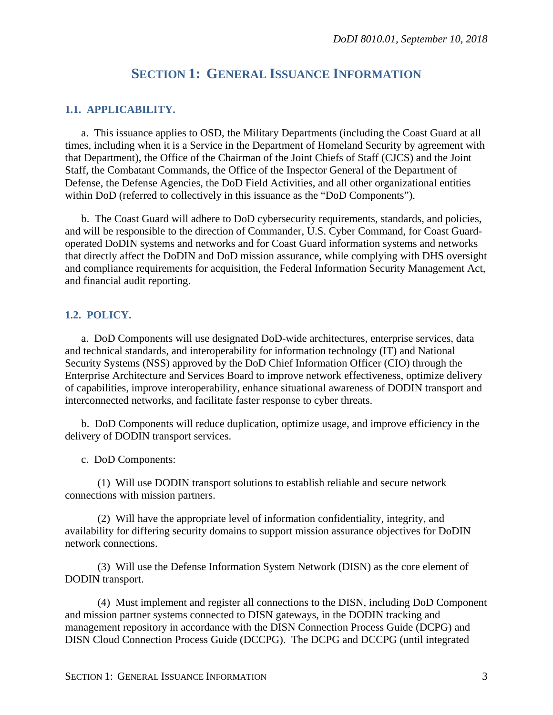# **SECTION 1: GENERAL ISSUANCE INFORMATION**

## <span id="page-2-1"></span><span id="page-2-0"></span>**1.1. APPLICABILITY.**

a. This issuance applies to OSD, the Military Departments (including the Coast Guard at all times, including when it is a Service in the Department of Homeland Security by agreement with that Department), the Office of the Chairman of the Joint Chiefs of Staff (CJCS) and the Joint Staff, the Combatant Commands, the Office of the Inspector General of the Department of Defense, the Defense Agencies, the DoD Field Activities, and all other organizational entities within DoD (referred to collectively in this issuance as the "DoD Components").

b. The Coast Guard will adhere to DoD cybersecurity requirements, standards, and policies, and will be responsible to the direction of Commander, U.S. Cyber Command, for Coast Guardoperated DoDIN systems and networks and for Coast Guard information systems and networks that directly affect the DoDIN and DoD mission assurance, while complying with DHS oversight and compliance requirements for acquisition, the Federal Information Security Management Act, and financial audit reporting.

#### <span id="page-2-2"></span>**1.2. POLICY.**

a. DoD Components will use designated DoD-wide architectures, enterprise services, data and technical standards, and interoperability for information technology (IT) and National Security Systems (NSS) approved by the DoD Chief Information Officer (CIO) through the Enterprise Architecture and Services Board to improve network effectiveness, optimize delivery of capabilities, improve interoperability, enhance situational awareness of DODIN transport and interconnected networks, and facilitate faster response to cyber threats.

b. DoD Components will reduce duplication, optimize usage, and improve efficiency in the delivery of DODIN transport services.

c. DoD Components:

(1) Will use DODIN transport solutions to establish reliable and secure network connections with mission partners.

(2) Will have the appropriate level of information confidentiality, integrity, and availability for differing security domains to support mission assurance objectives for DoDIN network connections.

(3) Will use the Defense Information System Network (DISN) as the core element of DODIN transport.

(4) Must implement and register all connections to the DISN, including DoD Component and mission partner systems connected to DISN gateways, in the DODIN tracking and management repository in accordance with the DISN Connection Process Guide (DCPG) and DISN Cloud Connection Process Guide (DCCPG). The DCPG and DCCPG (until integrated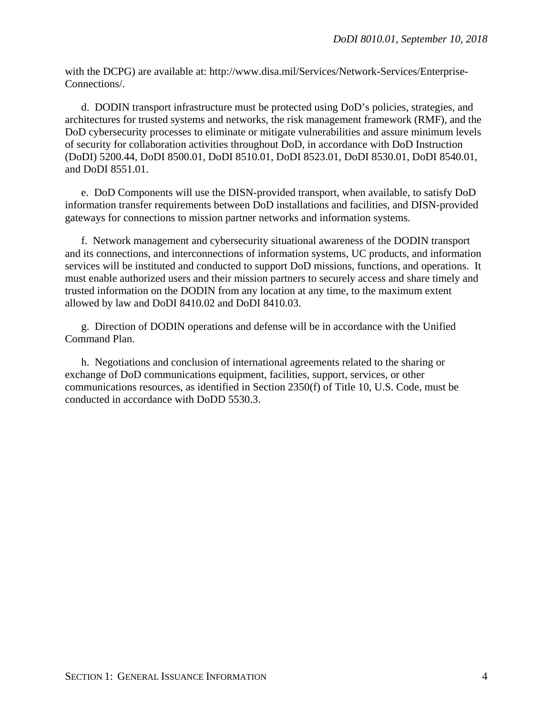with the DCPG) are available at: http://www.disa.mil/Services/Network-Services/Enterprise-Connections/.

d. DODIN transport infrastructure must be protected using DoD's policies, strategies, and architectures for trusted systems and networks, the risk management framework (RMF), and the DoD cybersecurity processes to eliminate or mitigate vulnerabilities and assure minimum levels of security for collaboration activities throughout DoD, in accordance with DoD Instruction (DoDI) 5200.44, DoDI 8500.01, DoDI 8510.01, DoDI 8523.01, DoDI 8530.01, DoDI 8540.01, and DoDI 8551.01.

e. DoD Components will use the DISN-provided transport, when available, to satisfy DoD information transfer requirements between DoD installations and facilities, and DISN-provided gateways for connections to mission partner networks and information systems.

f. Network management and cybersecurity situational awareness of the DODIN transport and its connections, and interconnections of information systems, UC products, and information services will be instituted and conducted to support DoD missions, functions, and operations. It must enable authorized users and their mission partners to securely access and share timely and trusted information on the DODIN from any location at any time, to the maximum extent allowed by law and DoDI 8410.02 and DoDI 8410.03.

g. Direction of DODIN operations and defense will be in accordance with the Unified Command Plan.

h. Negotiations and conclusion of international agreements related to the sharing or exchange of DoD communications equipment, facilities, support, services, or other communications resources, as identified in Section 2350(f) of Title 10, U.S. Code, must be conducted in accordance with DoDD 5530.3.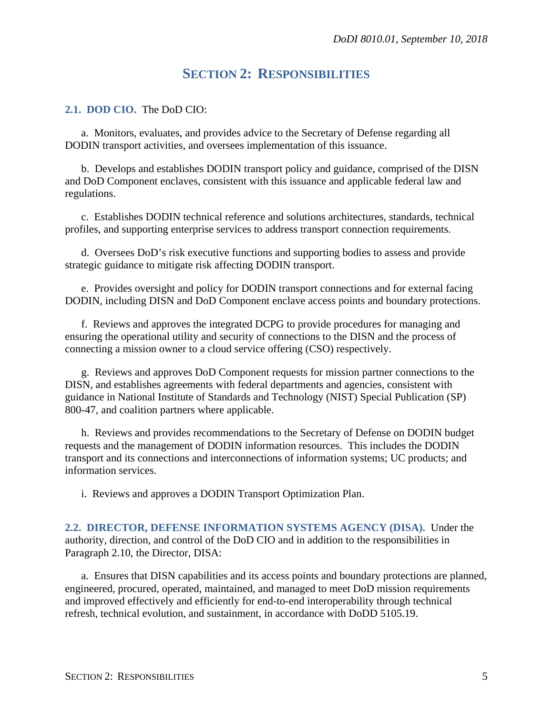# **SECTION 2: RESPONSIBILITIES**

### <span id="page-4-1"></span><span id="page-4-0"></span>**2.1. DOD CIO.** The DoD CIO:

a. Monitors, evaluates, and provides advice to the Secretary of Defense regarding all DODIN transport activities, and oversees implementation of this issuance.

b. Develops and establishes DODIN transport policy and guidance, comprised of the DISN and DoD Component enclaves, consistent with this issuance and applicable federal law and regulations.

c. Establishes DODIN technical reference and solutions architectures, standards, technical profiles, and supporting enterprise services to address transport connection requirements.

d. Oversees DoD's risk executive functions and supporting bodies to assess and provide strategic guidance to mitigate risk affecting DODIN transport.

e. Provides oversight and policy for DODIN transport connections and for external facing DODIN, including DISN and DoD Component enclave access points and boundary protections.

f. Reviews and approves the integrated DCPG to provide procedures for managing and ensuring the operational utility and security of connections to the DISN and the process of connecting a mission owner to a cloud service offering (CSO) respectively.

g. Reviews and approves DoD Component requests for mission partner connections to the DISN, and establishes agreements with federal departments and agencies, consistent with guidance in National Institute of Standards and Technology (NIST) Special Publication (SP) 800-47, and coalition partners where applicable.

h. Reviews and provides recommendations to the Secretary of Defense on DODIN budget requests and the management of DODIN information resources. This includes the DODIN transport and its connections and interconnections of information systems; UC products; and information services.

i. Reviews and approves a DODIN Transport Optimization Plan.

<span id="page-4-2"></span>**2.2. DIRECTOR, DEFENSE INFORMATION SYSTEMS AGENCY (DISA).** Under the authority, direction, and control of the DoD CIO and in addition to the responsibilities in Paragraph 2.10, the Director, DISA:

a. Ensures that DISN capabilities and its access points and boundary protections are planned, engineered, procured, operated, maintained, and managed to meet DoD mission requirements and improved effectively and efficiently for end-to-end interoperability through technical refresh, technical evolution, and sustainment, in accordance with DoDD 5105.19.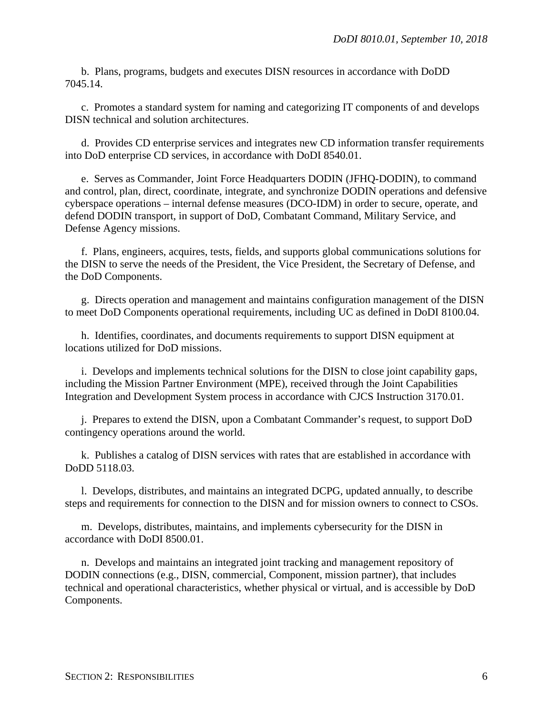b. Plans, programs, budgets and executes DISN resources in accordance with DoDD 7045.14.

c. Promotes a standard system for naming and categorizing IT components of and develops DISN technical and solution architectures.

d. Provides CD enterprise services and integrates new CD information transfer requirements into DoD enterprise CD services, in accordance with DoDI 8540.01.

e. Serves as Commander, Joint Force Headquarters DODIN (JFHQ-DODIN), to command and control, plan, direct, coordinate, integrate, and synchronize DODIN operations and defensive cyberspace operations – internal defense measures (DCO-IDM) in order to secure, operate, and defend DODIN transport, in support of DoD, Combatant Command, Military Service, and Defense Agency missions.

f. Plans, engineers, acquires, tests, fields, and supports global communications solutions for the DISN to serve the needs of the President, the Vice President, the Secretary of Defense, and the DoD Components.

g. Directs operation and management and maintains configuration management of the DISN to meet DoD Components operational requirements, including UC as defined in DoDI 8100.04.

h. Identifies, coordinates, and documents requirements to support DISN equipment at locations utilized for DoD missions.

i. Develops and implements technical solutions for the DISN to close joint capability gaps, including the Mission Partner Environment (MPE), received through the Joint Capabilities Integration and Development System process in accordance with CJCS Instruction 3170.01.

j. Prepares to extend the DISN, upon a Combatant Commander's request, to support DoD contingency operations around the world.

k. Publishes a catalog of DISN services with rates that are established in accordance with DoDD 5118.03.

l. Develops, distributes, and maintains an integrated DCPG, updated annually, to describe steps and requirements for connection to the DISN and for mission owners to connect to CSOs.

m. Develops, distributes, maintains, and implements cybersecurity for the DISN in accordance with DoDI 8500.01.

n. Develops and maintains an integrated joint tracking and management repository of DODIN connections (e.g., DISN, commercial, Component, mission partner), that includes technical and operational characteristics, whether physical or virtual, and is accessible by DoD Components.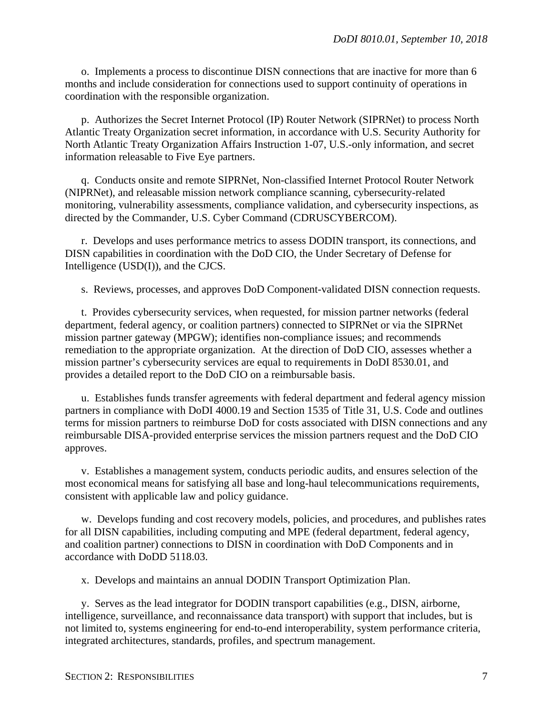o. Implements a process to discontinue DISN connections that are inactive for more than 6 months and include consideration for connections used to support continuity of operations in coordination with the responsible organization.

p. Authorizes the Secret Internet Protocol (IP) Router Network (SIPRNet) to process North Atlantic Treaty Organization secret information, in accordance with U.S. Security Authority for North Atlantic Treaty Organization Affairs Instruction 1-07, U.S.-only information, and secret information releasable to Five Eye partners.

q. Conducts onsite and remote SIPRNet, Non-classified Internet Protocol Router Network (NIPRNet), and releasable mission network compliance scanning, cybersecurity-related monitoring, vulnerability assessments, compliance validation, and cybersecurity inspections, as directed by the Commander, U.S. Cyber Command (CDRUSCYBERCOM).

r. Develops and uses performance metrics to assess DODIN transport, its connections, and DISN capabilities in coordination with the DoD CIO, the Under Secretary of Defense for Intelligence (USD(I)), and the CJCS.

s. Reviews, processes, and approves DoD Component-validated DISN connection requests.

t. Provides cybersecurity services, when requested, for mission partner networks (federal department, federal agency, or coalition partners) connected to SIPRNet or via the SIPRNet mission partner gateway (MPGW); identifies non-compliance issues; and recommends remediation to the appropriate organization. At the direction of DoD CIO, assesses whether a mission partner's cybersecurity services are equal to requirements in DoDI 8530.01, and provides a detailed report to the DoD CIO on a reimbursable basis.

u. Establishes funds transfer agreements with federal department and federal agency mission partners in compliance with DoDI 4000.19 and Section 1535 of Title 31, U.S. Code and outlines terms for mission partners to reimburse DoD for costs associated with DISN connections and any reimbursable DISA-provided enterprise services the mission partners request and the DoD CIO approves.

v. Establishes a management system, conducts periodic audits, and ensures selection of the most economical means for satisfying all base and long-haul telecommunications requirements, consistent with applicable law and policy guidance.

w. Develops funding and cost recovery models, policies, and procedures, and publishes rates for all DISN capabilities, including computing and MPE (federal department, federal agency, and coalition partner) connections to DISN in coordination with DoD Components and in accordance with DoDD 5118.03.

x. Develops and maintains an annual DODIN Transport Optimization Plan.

y. Serves as the lead integrator for DODIN transport capabilities (e.g., DISN, airborne, intelligence, surveillance, and reconnaissance data transport) with support that includes, but is not limited to, systems engineering for end-to-end interoperability, system performance criteria, integrated architectures, standards, profiles, and spectrum management.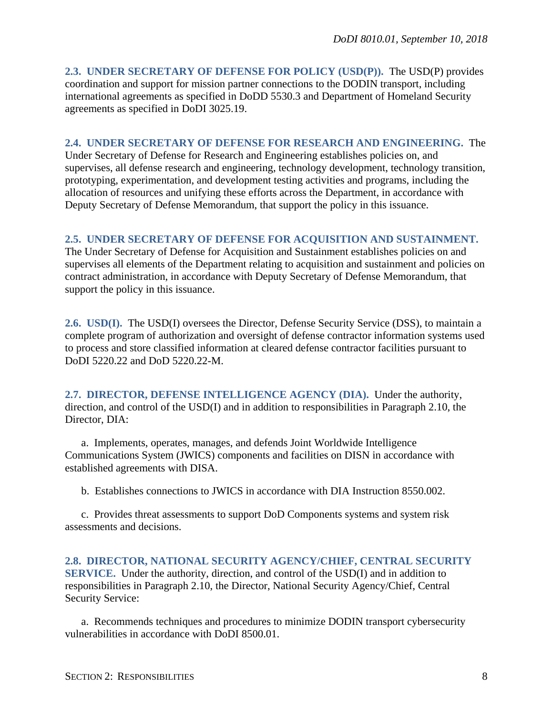<span id="page-7-0"></span>**2.3. UNDER SECRETARY OF DEFENSE FOR POLICY (USD(P)).** The USD(P) provides coordination and support for mission partner connections to the DODIN transport, including international agreements as specified in DoDD 5530.3 and Department of Homeland Security agreements as specified in DoDI 3025.19.

## <span id="page-7-1"></span>**2.4. UNDER SECRETARY OF DEFENSE FOR RESEARCH AND ENGINEERING.** The

Under Secretary of Defense for Research and Engineering establishes policies on, and supervises, all defense research and engineering, technology development, technology transition, prototyping, experimentation, and development testing activities and programs, including the allocation of resources and unifying these efforts across the Department, in accordance with Deputy Secretary of Defense Memorandum, that support the policy in this issuance.

## <span id="page-7-2"></span>**2.5. UNDER SECRETARY OF DEFENSE FOR ACQUISITION AND SUSTAINMENT.**

The Under Secretary of Defense for Acquisition and Sustainment establishes policies on and supervises all elements of the Department relating to acquisition and sustainment and policies on contract administration, in accordance with Deputy Secretary of Defense Memorandum, that support the policy in this issuance.

<span id="page-7-3"></span>**2.6. USD(I).** The USD(I) oversees the Director, Defense Security Service (DSS), to maintain a complete program of authorization and oversight of defense contractor information systems used to process and store classified information at cleared defense contractor facilities pursuant to DoDI 5220.22 and DoD 5220.22-M.

<span id="page-7-4"></span>**2.7. DIRECTOR, DEFENSE INTELLIGENCE AGENCY (DIA).** Under the authority, direction, and control of the USD(I) and in addition to responsibilities in Paragraph 2.10, the Director, DIA:

a. Implements, operates, manages, and defends Joint Worldwide Intelligence Communications System (JWICS) components and facilities on DISN in accordance with established agreements with DISA.

b. Establishes connections to JWICS in accordance with DIA Instruction 8550.002.

c. Provides threat assessments to support DoD Components systems and system risk assessments and decisions.

<span id="page-7-5"></span>**2.8. DIRECTOR, NATIONAL SECURITY AGENCY/CHIEF, CENTRAL SECURITY SERVICE.** Under the authority, direction, and control of the USD(I) and in addition to responsibilities in Paragraph 2.10, the Director, National Security Agency/Chief, Central Security Service:

a. Recommends techniques and procedures to minimize DODIN transport cybersecurity vulnerabilities in accordance with DoDI 8500.01.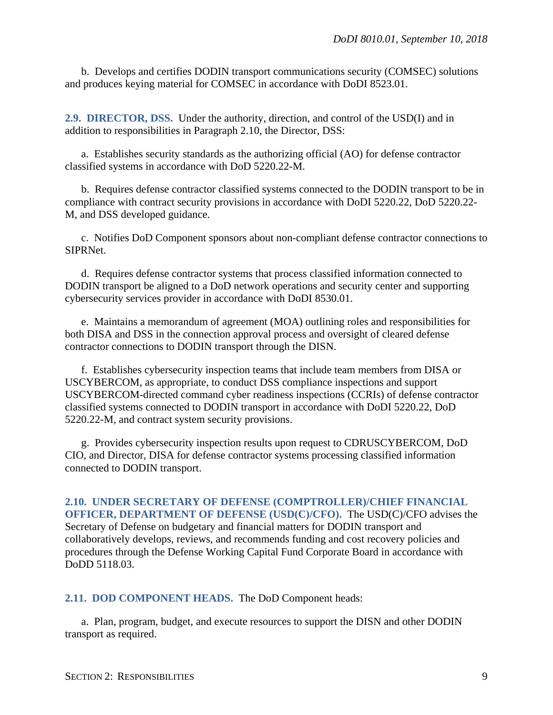b. Develops and certifies DODIN transport communications security (COMSEC) solutions and produces keying material for COMSEC in accordance with DoDI 8523.01.

<span id="page-8-0"></span>**2.9. DIRECTOR, DSS.** Under the authority, direction, and control of the USD(I) and in addition to responsibilities in Paragraph 2.10, the Director, DSS:

a. Establishes security standards as the authorizing official (AO) for defense contractor classified systems in accordance with DoD 5220.22-M.

b. Requires defense contractor classified systems connected to the DODIN transport to be in compliance with contract security provisions in accordance with DoDI 5220.22, DoD 5220.22- M, and DSS developed guidance.

c. Notifies DoD Component sponsors about non-compliant defense contractor connections to SIPRNet.

d. Requires defense contractor systems that process classified information connected to DODIN transport be aligned to a DoD network operations and security center and supporting cybersecurity services provider in accordance with DoDI 8530.01.

e. Maintains a memorandum of agreement (MOA) outlining roles and responsibilities for both DISA and DSS in the connection approval process and oversight of cleared defense contractor connections to DODIN transport through the DISN.

f. Establishes cybersecurity inspection teams that include team members from DISA or USCYBERCOM, as appropriate, to conduct DSS compliance inspections and support USCYBERCOM-directed command cyber readiness inspections (CCRIs) of defense contractor classified systems connected to DODIN transport in accordance with DoDI 5220.22, DoD 5220.22-M, and contract system security provisions.

g. Provides cybersecurity inspection results upon request to CDRUSCYBERCOM, DoD CIO, and Director, DISA for defense contractor systems processing classified information connected to DODIN transport.

<span id="page-8-1"></span>**2.10. UNDER SECRETARY OF DEFENSE (COMPTROLLER)/CHIEF FINANCIAL OFFICER, DEPARTMENT OF DEFENSE (USD(C)/CFO).** The USD(C)/CFO advises the Secretary of Defense on budgetary and financial matters for DODIN transport and collaboratively develops, reviews, and recommends funding and cost recovery policies and procedures through the Defense Working Capital Fund Corporate Board in accordance with DoDD 5118.03.

<span id="page-8-2"></span>**2.11. DOD COMPONENT HEADS.** The DoD Component heads:

a. Plan, program, budget, and execute resources to support the DISN and other DODIN transport as required.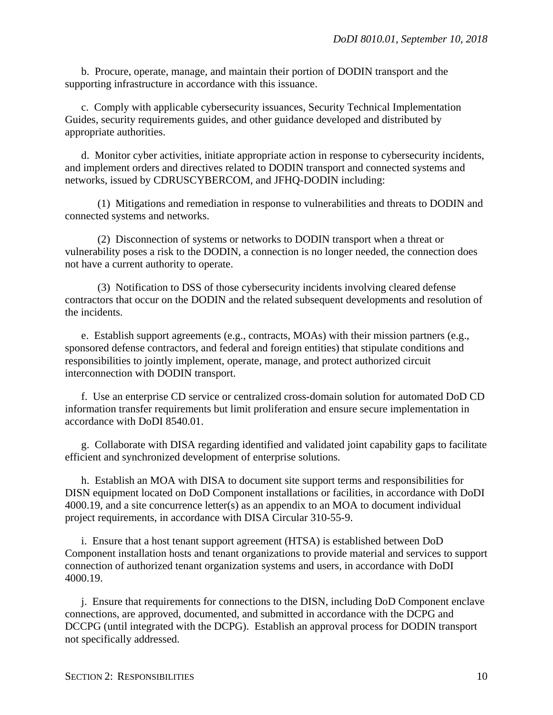b. Procure, operate, manage, and maintain their portion of DODIN transport and the supporting infrastructure in accordance with this issuance.

c. Comply with applicable cybersecurity issuances, Security Technical Implementation Guides, security requirements guides, and other guidance developed and distributed by appropriate authorities.

d. Monitor cyber activities, initiate appropriate action in response to cybersecurity incidents, and implement orders and directives related to DODIN transport and connected systems and networks, issued by CDRUSCYBERCOM, and JFHQ-DODIN including:

(1) Mitigations and remediation in response to vulnerabilities and threats to DODIN and connected systems and networks.

(2) Disconnection of systems or networks to DODIN transport when a threat or vulnerability poses a risk to the DODIN, a connection is no longer needed, the connection does not have a current authority to operate.

(3) Notification to DSS of those cybersecurity incidents involving cleared defense contractors that occur on the DODIN and the related subsequent developments and resolution of the incidents.

e. Establish support agreements (e.g., contracts, MOAs) with their mission partners (e.g., sponsored defense contractors, and federal and foreign entities) that stipulate conditions and responsibilities to jointly implement, operate, manage, and protect authorized circuit interconnection with DODIN transport.

f. Use an enterprise CD service or centralized cross-domain solution for automated DoD CD information transfer requirements but limit proliferation and ensure secure implementation in accordance with DoDI 8540.01.

g. Collaborate with DISA regarding identified and validated joint capability gaps to facilitate efficient and synchronized development of enterprise solutions.

h. Establish an MOA with DISA to document site support terms and responsibilities for DISN equipment located on DoD Component installations or facilities, in accordance with DoDI 4000.19, and a site concurrence letter(s) as an appendix to an MOA to document individual project requirements, in accordance with DISA Circular 310-55-9.

i. Ensure that a host tenant support agreement (HTSA) is established between DoD Component installation hosts and tenant organizations to provide material and services to support connection of authorized tenant organization systems and users, in accordance with DoDI 4000.19.

j. Ensure that requirements for connections to the DISN, including DoD Component enclave connections, are approved, documented, and submitted in accordance with the DCPG and DCCPG (until integrated with the DCPG). Establish an approval process for DODIN transport not specifically addressed.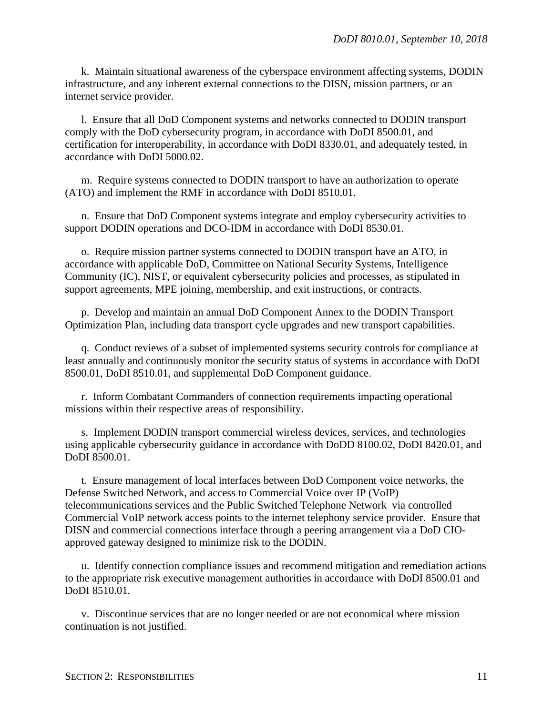k. Maintain situational awareness of the cyberspace environment affecting systems, DODIN infrastructure, and any inherent external connections to the DISN, mission partners, or an internet service provider.

l. Ensure that all DoD Component systems and networks connected to DODIN transport comply with the DoD cybersecurity program, in accordance with DoDI 8500.01, and certification for interoperability, in accordance with DoDI 8330.01, and adequately tested, in accordance with DoDI 5000.02.

m. Require systems connected to DODIN transport to have an authorization to operate (ATO) and implement the RMF in accordance with DoDI 8510.01.

n. Ensure that DoD Component systems integrate and employ cybersecurity activities to support DODIN operations and DCO-IDM in accordance with DoDI 8530.01.

o. Require mission partner systems connected to DODIN transport have an ATO, in accordance with applicable DoD, Committee on National Security Systems, Intelligence Community (IC), NIST, or equivalent cybersecurity policies and processes, as stipulated in support agreements, MPE joining, membership, and exit instructions, or contracts.

p. Develop and maintain an annual DoD Component Annex to the DODIN Transport Optimization Plan, including data transport cycle upgrades and new transport capabilities.

q. Conduct reviews of a subset of implemented systems security controls for compliance at least annually and continuously monitor the security status of systems in accordance with DoDI 8500.01, DoDI 8510.01, and supplemental DoD Component guidance.

r. Inform Combatant Commanders of connection requirements impacting operational missions within their respective areas of responsibility.

s. Implement DODIN transport commercial wireless devices, services, and technologies using applicable cybersecurity guidance in accordance with DoDD 8100.02, DoDI 8420.01, and DoDI 8500.01.

t. Ensure management of local interfaces between DoD Component voice networks, the Defense Switched Network, and access to Commercial Voice over IP (VoIP) telecommunications services and the Public Switched Telephone Network via controlled Commercial VoIP network access points to the internet telephony service provider. Ensure that DISN and commercial connections interface through a peering arrangement via a DoD CIOapproved gateway designed to minimize risk to the DODIN.

u. Identify connection compliance issues and recommend mitigation and remediation actions to the appropriate risk executive management authorities in accordance with DoDI 8500.01 and DoDI 8510.01.

v. Discontinue services that are no longer needed or are not economical where mission continuation is not justified.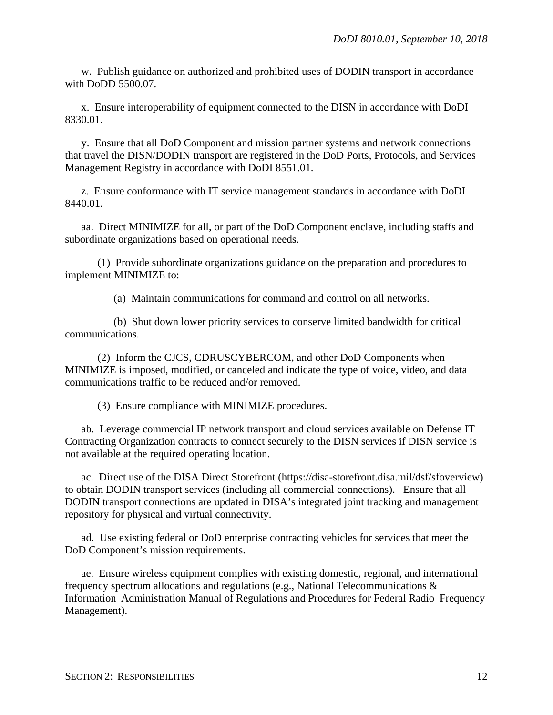w. Publish guidance on authorized and prohibited uses of DODIN transport in accordance with DoDD 5500.07.

x. Ensure interoperability of equipment connected to the DISN in accordance with DoDI 8330.01.

y. Ensure that all DoD Component and mission partner systems and network connections that travel the DISN/DODIN transport are registered in the DoD Ports, Protocols, and Services Management Registry in accordance with DoDI 8551.01.

z. Ensure conformance with IT service management standards in accordance with DoDI 8440.01.

aa. Direct MINIMIZE for all, or part of the DoD Component enclave, including staffs and subordinate organizations based on operational needs.

(1) Provide subordinate organizations guidance on the preparation and procedures to implement MINIMIZE to:

(a) Maintain communications for command and control on all networks.

(b) Shut down lower priority services to conserve limited bandwidth for critical communications.

(2) Inform the CJCS, CDRUSCYBERCOM, and other DoD Components when MINIMIZE is imposed, modified, or canceled and indicate the type of voice, video, and data communications traffic to be reduced and/or removed.

(3) Ensure compliance with MINIMIZE procedures.

ab. Leverage commercial IP network transport and cloud services available on Defense IT Contracting Organization contracts to connect securely to the DISN services if DISN service is not available at the required operating location.

ac. Direct use of the DISA Direct Storefront (https://disa-storefront.disa.mil/dsf/sfoverview) to obtain DODIN transport services (including all commercial connections). Ensure that all DODIN transport connections are updated in DISA's integrated joint tracking and management repository for physical and virtual connectivity.

ad. Use existing federal or DoD enterprise contracting vehicles for services that meet the DoD Component's mission requirements.

ae. Ensure wireless equipment complies with existing domestic, regional, and international frequency spectrum allocations and regulations (e.g., National Telecommunications & Information Administration Manual of Regulations and Procedures for Federal Radio Frequency Management).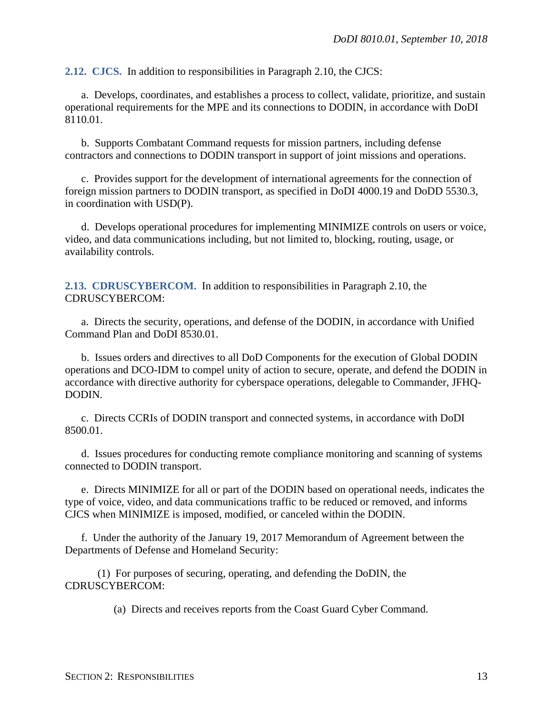<span id="page-12-0"></span>**2.12. CJCS.** In addition to responsibilities in Paragraph 2.10, the CJCS:

a. Develops, coordinates, and establishes a process to collect, validate, prioritize, and sustain operational requirements for the MPE and its connections to DODIN, in accordance with DoDI 8110.01.

b. Supports Combatant Command requests for mission partners, including defense contractors and connections to DODIN transport in support of joint missions and operations.

c. Provides support for the development of international agreements for the connection of foreign mission partners to DODIN transport, as specified in DoDI 4000.19 and DoDD 5530.3, in coordination with USD(P).

d. Develops operational procedures for implementing MINIMIZE controls on users or voice, video, and data communications including, but not limited to, blocking, routing, usage, or availability controls.

<span id="page-12-1"></span>**2.13. CDRUSCYBERCOM.** In addition to responsibilities in Paragraph 2.10, the CDRUSCYBERCOM:

a. Directs the security, operations, and defense of the DODIN, in accordance with Unified Command Plan and DoDI 8530.01.

b. Issues orders and directives to all DoD Components for the execution of Global DODIN operations and DCO-IDM to compel unity of action to secure, operate, and defend the DODIN in accordance with directive authority for cyberspace operations, delegable to Commander, JFHQ-DODIN.

c. Directs CCRIs of DODIN transport and connected systems, in accordance with DoDI 8500.01.

d. Issues procedures for conducting remote compliance monitoring and scanning of systems connected to DODIN transport.

e. Directs MINIMIZE for all or part of the DODIN based on operational needs, indicates the type of voice, video, and data communications traffic to be reduced or removed, and informs CJCS when MINIMIZE is imposed, modified, or canceled within the DODIN.

f. Under the authority of the January 19, 2017 Memorandum of Agreement between the Departments of Defense and Homeland Security:

(1) For purposes of securing, operating, and defending the DoDIN, the CDRUSCYBERCOM:

(a) Directs and receives reports from the Coast Guard Cyber Command.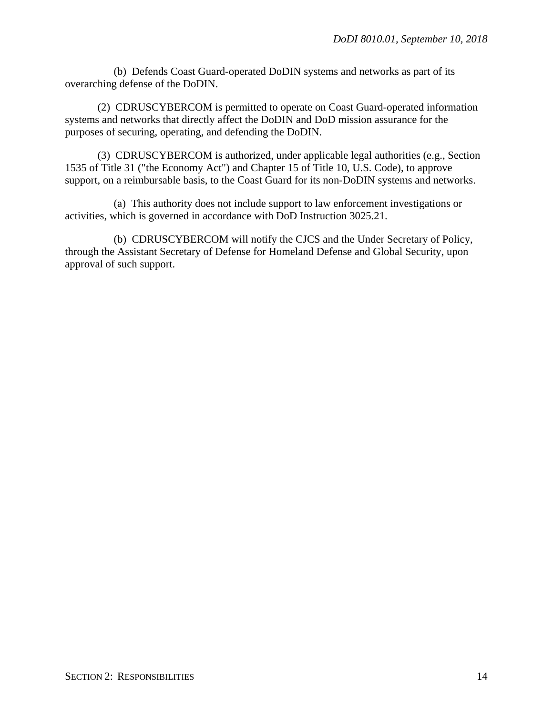(b) Defends Coast Guard-operated DoDIN systems and networks as part of its overarching defense of the DoDIN.

(2) CDRUSCYBERCOM is permitted to operate on Coast Guard-operated information systems and networks that directly affect the DoDIN and DoD mission assurance for the purposes of securing, operating, and defending the DoDIN.

(3) CDRUSCYBERCOM is authorized, under applicable legal authorities (e.g., Section 1535 of Title 31 ("the Economy Act") and Chapter 15 of Title 10, U.S. Code), to approve support, on a reimbursable basis, to the Coast Guard for its non-DoDIN systems and networks.

(a) This authority does not include support to law enforcement investigations or activities, which is governed in accordance with DoD Instruction 3025.21.

(b) CDRUSCYBERCOM will notify the CJCS and the Under Secretary of Policy, through the Assistant Secretary of Defense for Homeland Defense and Global Security, upon approval of such support.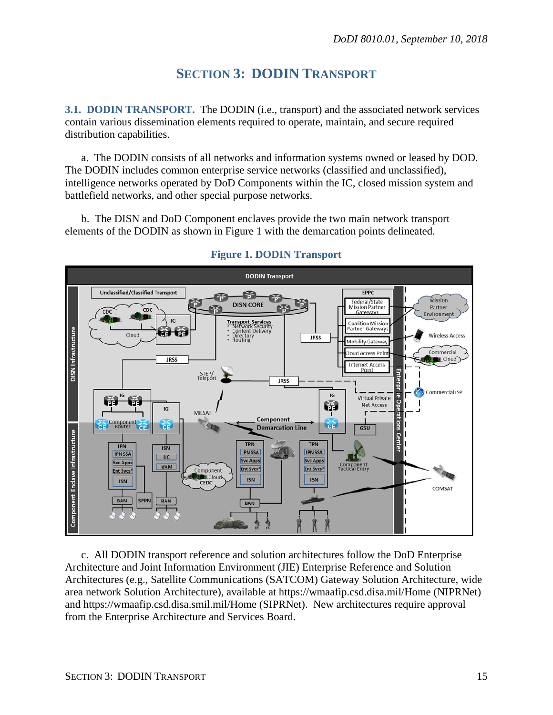# **SECTION 3: DODIN TRANSPORT**

<span id="page-14-1"></span><span id="page-14-0"></span>**3.1. DODIN TRANSPORT.** The DODIN (i.e., transport) and the associated network services contain various dissemination elements required to operate, maintain, and secure required distribution capabilities.

a. The DODIN consists of all networks and information systems owned or leased by DOD. The DODIN includes common enterprise service networks (classified and unclassified), intelligence networks operated by DoD Components within the IC, closed mission system and battlefield networks, and other special purpose networks.

b. The DISN and DoD Component enclaves provide the two main network transport elements of the DODIN as shown in Figure 1 with the demarcation points delineated.



## **Figure 1. DODIN Transport**

c. All DODIN transport reference and solution architectures follow the DoD Enterprise Architecture and Joint Information Environment (JIE) Enterprise Reference and Solution Architectures (e.g., Satellite Communications (SATCOM) Gateway Solution Architecture, wide area network Solution Architecture), available at https://wmaafip.csd.disa.mil/Home (NIPRNet) and https://wmaafip.csd.disa.smil.mil/Home (SIPRNet). New architectures require approval from the Enterprise Architecture and Services Board.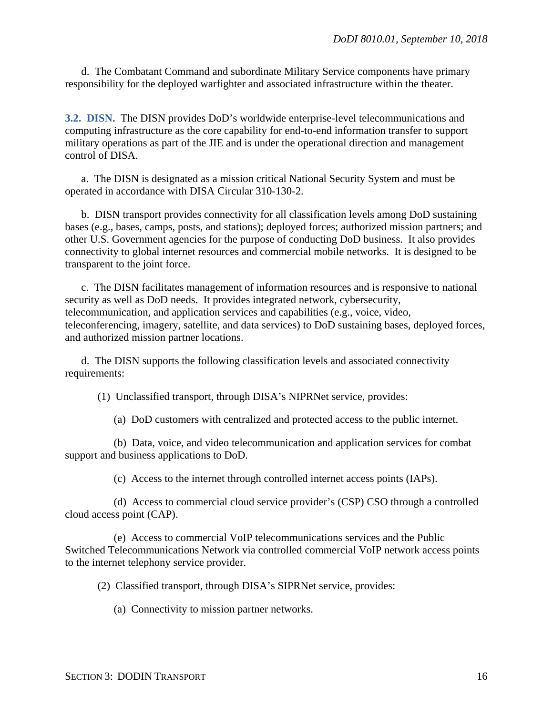d. The Combatant Command and subordinate Military Service components have primary responsibility for the deployed warfighter and associated infrastructure within the theater.

<span id="page-15-0"></span>**3.2. DISN.** The DISN provides DoD's worldwide enterprise-level telecommunications and computing infrastructure as the core capability for end-to-end information transfer to support military operations as part of the JIE and is under the operational direction and management control of DISA.

a. The DISN is designated as a mission critical National Security System and must be operated in accordance with DISA Circular 310-130-2.

b. DISN transport provides connectivity for all classification levels among DoD sustaining bases (e.g., bases, camps, posts, and stations); deployed forces; authorized mission partners; and other U.S. Government agencies for the purpose of conducting DoD business. It also provides connectivity to global internet resources and commercial mobile networks. It is designed to be transparent to the joint force.

c. The DISN facilitates management of information resources and is responsive to national security as well as DoD needs. It provides integrated network, cybersecurity, telecommunication, and application services and capabilities (e.g., voice, video, teleconferencing, imagery, satellite, and data services) to DoD sustaining bases, deployed forces, and authorized mission partner locations.

d. The DISN supports the following classification levels and associated connectivity requirements:

(1) Unclassified transport, through DISA's NIPRNet service, provides:

(a) DoD customers with centralized and protected access to the public internet.

(b) Data, voice, and video telecommunication and application services for combat support and business applications to DoD.

(c) Access to the internet through controlled internet access points (IAPs).

(d) Access to commercial cloud service provider's (CSP) CSO through a controlled cloud access point (CAP).

(e) Access to commercial VoIP telecommunications services and the Public Switched Telecommunications Network via controlled commercial VoIP network access points to the internet telephony service provider.

(2) Classified transport, through DISA's SIPRNet service, provides:

(a) Connectivity to mission partner networks.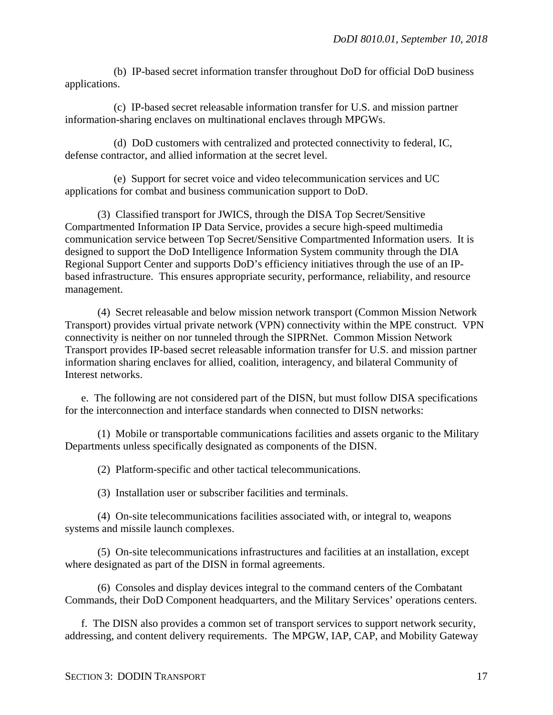(b) IP-based secret information transfer throughout DoD for official DoD business applications.

(c) IP-based secret releasable information transfer for U.S. and mission partner information-sharing enclaves on multinational enclaves through MPGWs.

(d) DoD customers with centralized and protected connectivity to federal, IC, defense contractor, and allied information at the secret level.

(e) Support for secret voice and video telecommunication services and UC applications for combat and business communication support to DoD.

(3) Classified transport for JWICS, through the DISA Top Secret/Sensitive Compartmented Information IP Data Service, provides a secure high-speed multimedia communication service between Top Secret/Sensitive Compartmented Information users. It is designed to support the DoD Intelligence Information System community through the DIA Regional Support Center and supports DoD's efficiency initiatives through the use of an IPbased infrastructure. This ensures appropriate security, performance, reliability, and resource management.

(4) Secret releasable and below mission network transport (Common Mission Network Transport) provides virtual private network (VPN) connectivity within the MPE construct. VPN connectivity is neither on nor tunneled through the SIPRNet. Common Mission Network Transport provides IP-based secret releasable information transfer for U.S. and mission partner information sharing enclaves for allied, coalition, interagency, and bilateral Community of Interest networks.

e. The following are not considered part of the DISN, but must follow DISA specifications for the interconnection and interface standards when connected to DISN networks:

(1) Mobile or transportable communications facilities and assets organic to the Military Departments unless specifically designated as components of the DISN.

(2) Platform-specific and other tactical telecommunications.

(3) Installation user or subscriber facilities and terminals.

(4) On-site telecommunications facilities associated with, or integral to, weapons systems and missile launch complexes.

(5) On-site telecommunications infrastructures and facilities at an installation, except where designated as part of the DISN in formal agreements.

(6) Consoles and display devices integral to the command centers of the Combatant Commands, their DoD Component headquarters, and the Military Services' operations centers.

f. The DISN also provides a common set of transport services to support network security, addressing, and content delivery requirements. The MPGW, IAP, CAP, and Mobility Gateway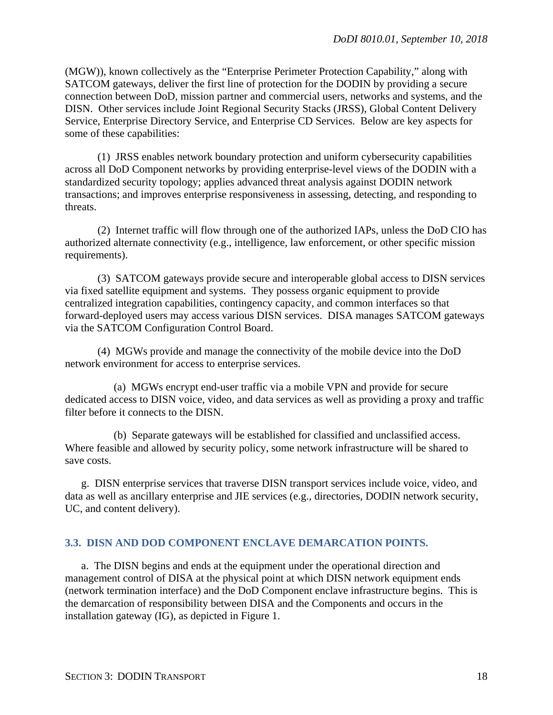(MGW)), known collectively as the "Enterprise Perimeter Protection Capability," along with SATCOM gateways, deliver the first line of protection for the DODIN by providing a secure connection between DoD, mission partner and commercial users, networks and systems, and the DISN. Other services include Joint Regional Security Stacks (JRSS), Global Content Delivery Service, Enterprise Directory Service, and Enterprise CD Services. Below are key aspects for some of these capabilities:

(1) JRSS enables network boundary protection and uniform cybersecurity capabilities across all DoD Component networks by providing enterprise-level views of the DODIN with a standardized security topology; applies advanced threat analysis against DODIN network transactions; and improves enterprise responsiveness in assessing, detecting, and responding to threats.

(2) Internet traffic will flow through one of the authorized IAPs, unless the DoD CIO has authorized alternate connectivity (e.g., intelligence, law enforcement, or other specific mission requirements).

(3) SATCOM gateways provide secure and interoperable global access to DISN services via fixed satellite equipment and systems. They possess organic equipment to provide centralized integration capabilities, contingency capacity, and common interfaces so that forward-deployed users may access various DISN services. DISA manages SATCOM gateways via the SATCOM Configuration Control Board.

(4) MGWs provide and manage the connectivity of the mobile device into the DoD network environment for access to enterprise services.

(a) MGWs encrypt end-user traffic via a mobile VPN and provide for secure dedicated access to DISN voice, video, and data services as well as providing a proxy and traffic filter before it connects to the DISN.

(b) Separate gateways will be established for classified and unclassified access. Where feasible and allowed by security policy, some network infrastructure will be shared to save costs.

g. DISN enterprise services that traverse DISN transport services include voice, video, and data as well as ancillary enterprise and JIE services (e.g., directories, DODIN network security, UC, and content delivery).

## <span id="page-17-0"></span>**3.3. DISN AND DOD COMPONENT ENCLAVE DEMARCATION POINTS.**

a. The DISN begins and ends at the equipment under the operational direction and management control of DISA at the physical point at which DISN network equipment ends (network termination interface) and the DoD Component enclave infrastructure begins. This is the demarcation of responsibility between DISA and the Components and occurs in the installation gateway (IG), as depicted in Figure 1.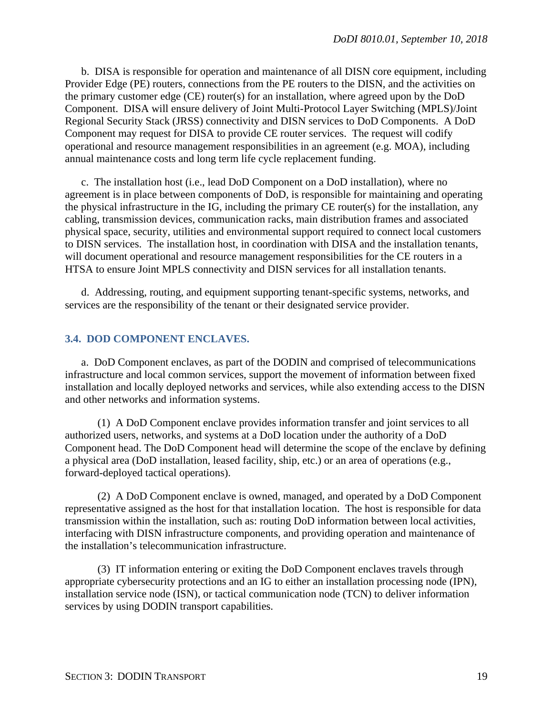b. DISA is responsible for operation and maintenance of all DISN core equipment, including Provider Edge (PE) routers, connections from the PE routers to the DISN, and the activities on the primary customer edge (CE) router(s) for an installation, where agreed upon by the DoD Component. DISA will ensure delivery of Joint Multi-Protocol Layer Switching (MPLS)/Joint Regional Security Stack (JRSS) connectivity and DISN services to DoD Components. A DoD Component may request for DISA to provide CE router services. The request will codify operational and resource management responsibilities in an agreement (e.g. MOA), including annual maintenance costs and long term life cycle replacement funding.

c. The installation host (i.e., lead DoD Component on a DoD installation), where no agreement is in place between components of DoD, is responsible for maintaining and operating the physical infrastructure in the IG, including the primary CE router(s) for the installation, any cabling, transmission devices, communication racks, main distribution frames and associated physical space, security, utilities and environmental support required to connect local customers to DISN services. The installation host, in coordination with DISA and the installation tenants, will document operational and resource management responsibilities for the CE routers in a HTSA to ensure Joint MPLS connectivity and DISN services for all installation tenants.

d. Addressing, routing, and equipment supporting tenant-specific systems, networks, and services are the responsibility of the tenant or their designated service provider.

## <span id="page-18-0"></span>**3.4. DOD COMPONENT ENCLAVES.**

a. DoD Component enclaves, as part of the DODIN and comprised of telecommunications infrastructure and local common services, support the movement of information between fixed installation and locally deployed networks and services, while also extending access to the DISN and other networks and information systems.

(1) A DoD Component enclave provides information transfer and joint services to all authorized users, networks, and systems at a DoD location under the authority of a DoD Component head. The DoD Component head will determine the scope of the enclave by defining a physical area (DoD installation, leased facility, ship, etc.) or an area of operations (e.g., forward-deployed tactical operations).

(2) A DoD Component enclave is owned, managed, and operated by a DoD Component representative assigned as the host for that installation location. The host is responsible for data transmission within the installation, such as: routing DoD information between local activities, interfacing with DISN infrastructure components, and providing operation and maintenance of the installation's telecommunication infrastructure.

(3) IT information entering or exiting the DoD Component enclaves travels through appropriate cybersecurity protections and an IG to either an installation processing node (IPN), installation service node (ISN), or tactical communication node (TCN) to deliver information services by using DODIN transport capabilities.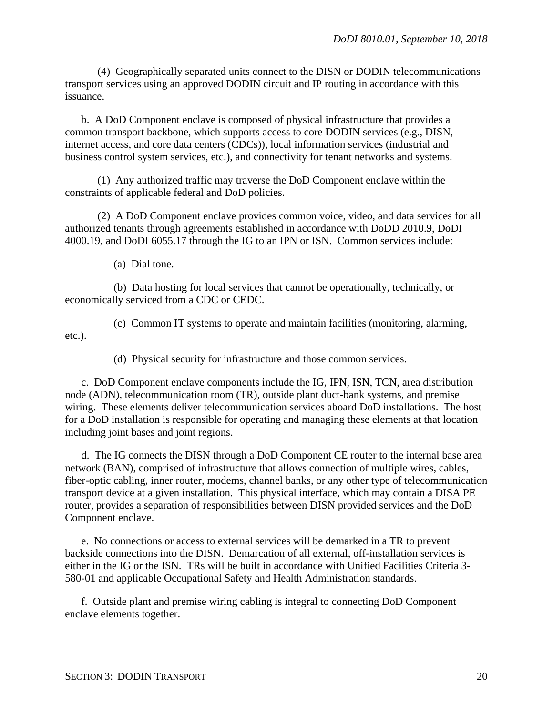(4) Geographically separated units connect to the DISN or DODIN telecommunications transport services using an approved DODIN circuit and IP routing in accordance with this issuance.

b. A DoD Component enclave is composed of physical infrastructure that provides a common transport backbone, which supports access to core DODIN services (e.g., DISN, internet access, and core data centers (CDCs)), local information services (industrial and business control system services, etc.), and connectivity for tenant networks and systems.

(1) Any authorized traffic may traverse the DoD Component enclave within the constraints of applicable federal and DoD policies.

(2) A DoD Component enclave provides common voice, video, and data services for all authorized tenants through agreements established in accordance with DoDD 2010.9, DoDI 4000.19, and DoDI 6055.17 through the IG to an IPN or ISN. Common services include:

(a) Dial tone.

(b) Data hosting for local services that cannot be operationally, technically, or economically serviced from a CDC or CEDC.

(c) Common IT systems to operate and maintain facilities (monitoring, alarming, etc.).

(d) Physical security for infrastructure and those common services.

c. DoD Component enclave components include the IG, IPN, ISN, TCN, area distribution node (ADN), telecommunication room (TR), outside plant duct-bank systems, and premise wiring. These elements deliver telecommunication services aboard DoD installations. The host for a DoD installation is responsible for operating and managing these elements at that location including joint bases and joint regions.

d. The IG connects the DISN through a DoD Component CE router to the internal base area network (BAN), comprised of infrastructure that allows connection of multiple wires, cables, fiber-optic cabling, inner router, modems, channel banks, or any other type of telecommunication transport device at a given installation. This physical interface, which may contain a DISA PE router, provides a separation of responsibilities between DISN provided services and the DoD Component enclave.

e. No connections or access to external services will be demarked in a TR to prevent backside connections into the DISN. Demarcation of all external, off-installation services is either in the IG or the ISN. TRs will be built in accordance with Unified Facilities Criteria 3- 580-01 and applicable [Occupational Safety and Health Administration s](https://www.osha.gov/)tandards.

f. Outside plant and premise wiring cabling is integral to connecting DoD Component enclave elements together.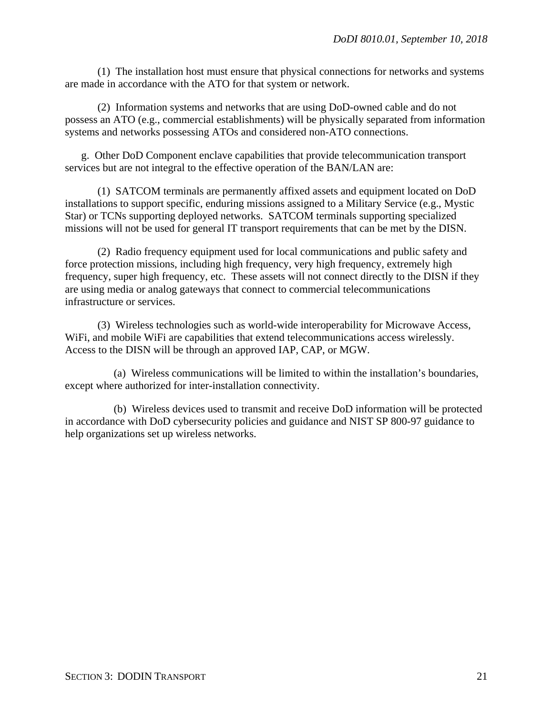(1) The installation host must ensure that physical connections for networks and systems are made in accordance with the ATO for that system or network.

(2) Information systems and networks that are using DoD-owned cable and do not possess an ATO (e.g., commercial establishments) will be physically separated from information systems and networks possessing ATOs and considered non-ATO connections.

g. Other DoD Component enclave capabilities that provide telecommunication transport services but are not integral to the effective operation of the BAN/LAN are:

(1) SATCOM terminals are permanently affixed assets and equipment located on DoD installations to support specific, enduring missions assigned to a Military Service (e.g., Mystic Star) or TCNs supporting deployed networks. SATCOM terminals supporting specialized missions will not be used for general IT transport requirements that can be met by the DISN.

(2) Radio frequency equipment used for local communications and public safety and force protection missions, including high frequency, very high frequency, extremely high frequency, super high frequency, etc. These assets will not connect directly to the DISN if they are using media or analog gateways that connect to commercial telecommunications infrastructure or services.

(3) Wireless technologies such as world-wide interoperability for Microwave Access, WiFi, and mobile WiFi are capabilities that extend telecommunications access wirelessly. Access to the DISN will be through an approved IAP, CAP, or MGW.

(a) Wireless communications will be limited to within the installation's boundaries, except where authorized for inter-installation connectivity.

(b) Wireless devices used to transmit and receive DoD information will be protected in accordance with DoD cybersecurity policies and guidance and NIST SP 800-97 guidance to help organizations set up wireless networks.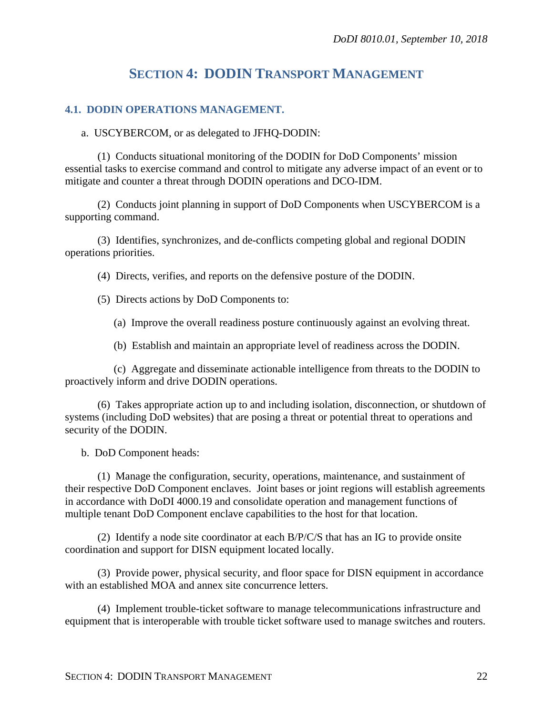# **SECTION 4: DODIN TRANSPORT MANAGEMENT**

## <span id="page-21-1"></span><span id="page-21-0"></span>**4.1. DODIN OPERATIONS MANAGEMENT.**

a. USCYBERCOM, or as delegated to JFHQ-DODIN:

(1) Conducts situational monitoring of the DODIN for DoD Components' mission essential tasks to exercise command and control to mitigate any adverse impact of an event or to mitigate and counter a threat through DODIN operations and DCO-IDM.

(2) Conducts joint planning in support of DoD Components when USCYBERCOM is a supporting command.

(3) Identifies, synchronizes, and de-conflicts competing global and regional DODIN operations priorities.

(4) Directs, verifies, and reports on the defensive posture of the DODIN.

- (5) Directs actions by DoD Components to:
	- (a) Improve the overall readiness posture continuously against an evolving threat.
	- (b) Establish and maintain an appropriate level of readiness across the DODIN.

(c) Aggregate and disseminate actionable intelligence from threats to the DODIN to proactively inform and drive DODIN operations.

(6) Takes appropriate action up to and including isolation, disconnection, or shutdown of systems (including DoD websites) that are posing a threat or potential threat to operations and security of the DODIN.

b. DoD Component heads:

(1) Manage the configuration, security, operations, maintenance, and sustainment of their respective DoD Component enclaves. Joint bases or joint regions will establish agreements in accordance with DoDI 4000.19 and consolidate operation and management functions of multiple tenant DoD Component enclave capabilities to the host for that location.

(2) Identify a node site coordinator at each B/P/C/S that has an IG to provide onsite coordination and support for DISN equipment located locally.

(3) Provide power, physical security, and floor space for DISN equipment in accordance with an established MOA and annex site concurrence letters.

(4) Implement trouble-ticket software to manage telecommunications infrastructure and equipment that is interoperable with trouble ticket software used to manage switches and routers.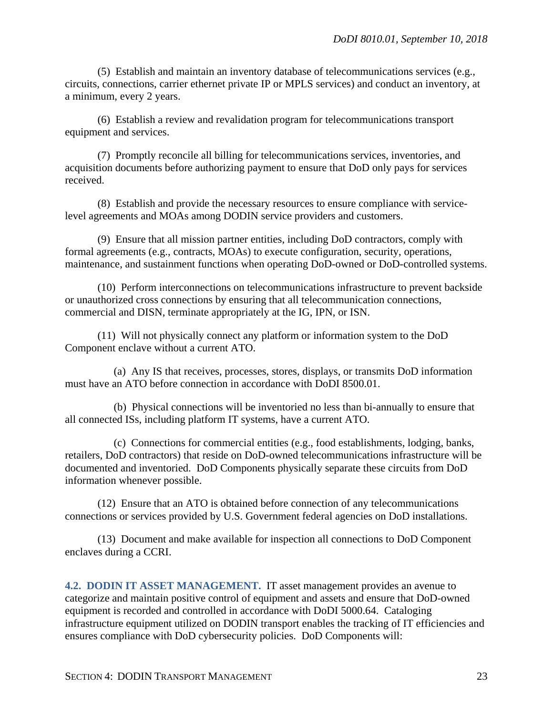(5) Establish and maintain an inventory database of telecommunications services (e.g., circuits, connections, carrier ethernet private IP or MPLS services) and conduct an inventory, at a minimum, every 2 years.

(6) Establish a review and revalidation program for telecommunications transport equipment and services.

(7) Promptly reconcile all billing for telecommunications services, inventories, and acquisition documents before authorizing payment to ensure that DoD only pays for services received.

(8) Establish and provide the necessary resources to ensure compliance with servicelevel agreements and MOAs among DODIN service providers and customers.

(9) Ensure that all mission partner entities, including DoD contractors, comply with formal agreements (e.g., contracts, MOAs) to execute configuration, security, operations, maintenance, and sustainment functions when operating DoD-owned or DoD-controlled systems.

(10) Perform interconnections on telecommunications infrastructure to prevent backside or unauthorized cross connections by ensuring that all telecommunication connections, commercial and DISN, terminate appropriately at the IG, IPN, or ISN.

(11) Will not physically connect any platform or information system to the DoD Component enclave without a current ATO.

(a) Any IS that receives, processes, stores, displays, or transmits DoD information must have an ATO before connection in accordance with DoDI 8500.01.

(b) Physical connections will be inventoried no less than bi-annually to ensure that all connected ISs, including platform IT systems, have a current ATO.

(c) Connections for commercial entities (e.g., food establishments, lodging, banks, retailers, DoD contractors) that reside on DoD-owned telecommunications infrastructure will be documented and inventoried. DoD Components physically separate these circuits from DoD information whenever possible.

(12) Ensure that an ATO is obtained before connection of any telecommunications connections or services provided by U.S. Government federal agencies on DoD installations.

(13) Document and make available for inspection all connections to DoD Component enclaves during a CCRI.

<span id="page-22-0"></span>**4.2. DODIN IT ASSET MANAGEMENT.** IT asset management provides an avenue to categorize and maintain positive control of equipment and assets and ensure that DoD-owned equipment is recorded and controlled in accordance with DoDI 5000.64. Cataloging infrastructure equipment utilized on DODIN transport enables the tracking of IT efficiencies and ensures compliance with DoD cybersecurity policies. DoD Components will: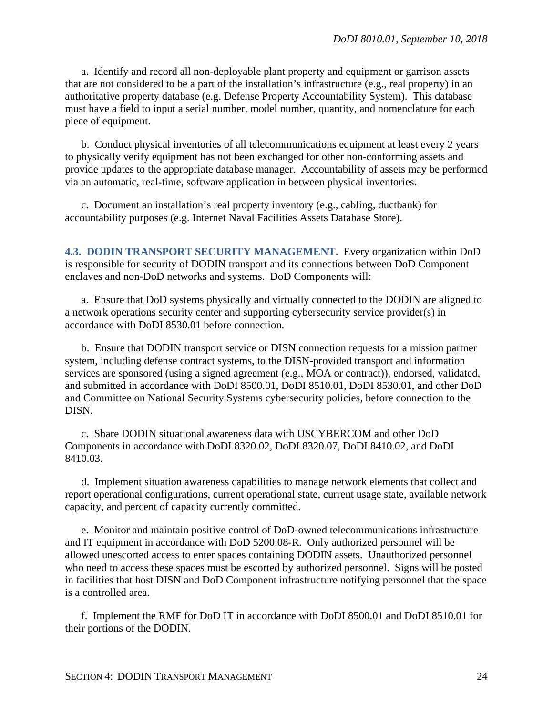a. Identify and record all non-deployable plant property and equipment or garrison assets that are not considered to be a part of the installation's infrastructure (e.g., real property) in an authoritative property database (e.g. Defense Property Accountability System). This database must have a field to input a serial number, model number, quantity, and nomenclature for each piece of equipment.

b. Conduct physical inventories of all telecommunications equipment at least every 2 years to physically verify equipment has not been exchanged for other non-conforming assets and provide updates to the appropriate database manager. Accountability of assets may be performed via an automatic, real-time, software application in between physical inventories.

c. Document an installation's real property inventory (e.g., cabling, ductbank) for accountability purposes (e.g. Internet Naval Facilities Assets Database Store).

<span id="page-23-0"></span>**4.3. DODIN TRANSPORT SECURITY MANAGEMENT.** Every organization within DoD is responsible for security of DODIN transport and its connections between DoD Component enclaves and non-DoD networks and systems. DoD Components will:

a. Ensure that DoD systems physically and virtually connected to the DODIN are aligned to a network operations security center and supporting cybersecurity service provider(s) in accordance with DoDI 8530.01 before connection.

b. Ensure that DODIN transport service or DISN connection requests for a mission partner system, including defense contract systems, to the DISN-provided transport and information services are sponsored (using a signed agreement (e.g., MOA or contract)), endorsed, validated, and submitted in accordance with DoDI 8500.01, DoDI 8510.01, DoDI 8530.01, and other DoD and Committee on National Security Systems cybersecurity policies, before connection to the DISN.

c. Share DODIN situational awareness data with USCYBERCOM and other DoD Components in accordance with DoDI 8320.02, DoDI 8320.07, DoDI 8410.02, and DoDI 8410.03.

d. Implement situation awareness capabilities to manage network elements that collect and report operational configurations, current operational state, current usage state, available network capacity, and percent of capacity currently committed.

e. Monitor and maintain positive control of DoD-owned telecommunications infrastructure and IT equipment in accordance with DoD 5200.08-R. Only authorized personnel will be allowed unescorted access to enter spaces containing DODIN assets. Unauthorized personnel who need to access these spaces must be escorted by authorized personnel. Signs will be posted in facilities that host DISN and DoD Component infrastructure notifying personnel that the space is a controlled area.

f. Implement the RMF for DoD IT in accordance with DoDI 8500.01 and DoDI 8510.01 for their portions of the DODIN.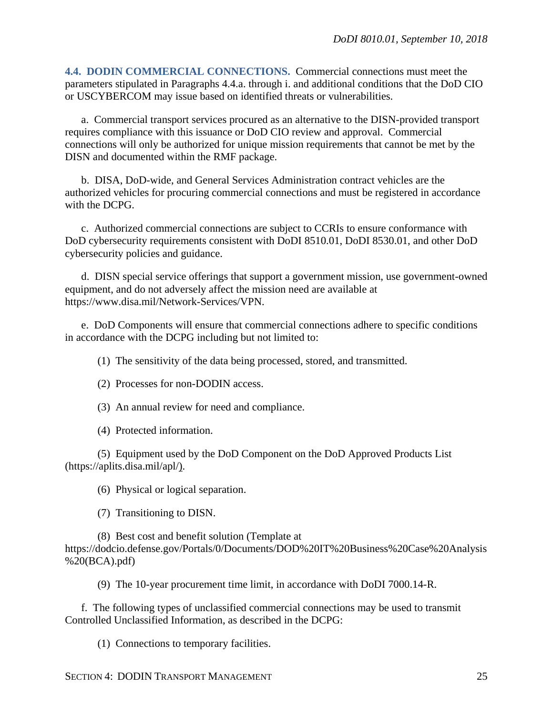<span id="page-24-0"></span>**4.4. DODIN COMMERCIAL CONNECTIONS.** Commercial connections must meet the parameters stipulated in Paragraphs 4.4.a. through i. and additional conditions that the DoD CIO or USCYBERCOM may issue based on identified threats or vulnerabilities.

a. Commercial transport services procured as an alternative to the DISN-provided transport requires compliance with this issuance or DoD CIO review and approval. Commercial connections will only be authorized for unique mission requirements that cannot be met by the DISN and documented within the RMF package.

b. DISA, DoD-wide, and General Services Administration contract vehicles are the authorized vehicles for procuring commercial connections and must be registered in accordance with the DCPG.

c. Authorized commercial connections are subject to CCRIs to ensure conformance with DoD cybersecurity requirements consistent with DoDI 8510.01, DoDI 8530.01, and other DoD cybersecurity policies and guidance.

d. DISN special service offerings that support a government mission, use government-owned equipment, and do not adversely affect the mission need are available at https://www.disa.mil/Network-Services/VPN.

e. DoD Components will ensure that commercial connections adhere to specific conditions in accordance with the DCPG including but not limited to:

(1) The sensitivity of the data being processed, stored, and transmitted.

- (2) Processes for non-DODIN access.
- (3) An annual review for need and compliance.
- (4) Protected information.

(5) Equipment used by the DoD Component on the DoD Approved Products List (https://aplits.disa.mil/apl/).

(6) Physical or logical separation.

(7) Transitioning to DISN.

(8) Best cost and benefit solution (Template at https://dodcio.defense.gov/Portals/0/Documents/DOD%20IT%20Business%20Case%20Analysis %20(BCA).pdf)

(9) The 10-year procurement time limit, in accordance with DoDI 7000.14-R.

f. The following types of unclassified commercial connections may be used to transmit Controlled Unclassified Information, as described in the DCPG:

(1) Connections to temporary facilities.

SECTION 4: DODIN TRANSPORT MANAGEMENT 25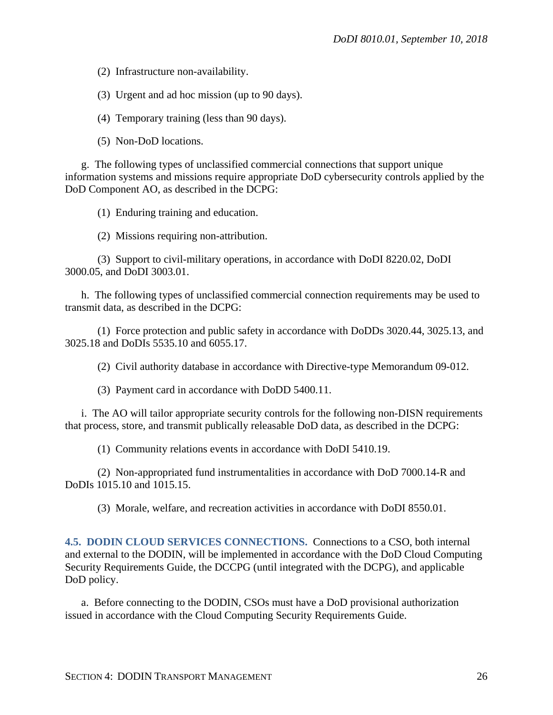(2) Infrastructure non-availability.

(3) Urgent and ad hoc mission (up to 90 days).

(4) Temporary training (less than 90 days).

(5) Non-DoD locations.

g. The following types of unclassified commercial connections that support unique information systems and missions require appropriate DoD cybersecurity controls applied by the DoD Component AO, as described in the DCPG:

(1) Enduring training and education.

(2) Missions requiring non-attribution.

(3) Support to civil-military operations, in accordance with DoDI 8220.02, DoDI 3000.05, and DoDI 3003.01.

h. The following types of unclassified commercial connection requirements may be used to transmit data, as described in the DCPG:

(1) Force protection and public safety in accordance with DoDDs 3020.44, 3025.13, and 3025.18 and DoDIs 5535.10 and 6055.17.

(2) Civil authority database in accordance with Directive-type Memorandum 09-012.

(3) Payment card in accordance with DoDD 5400.11.

i. The AO will tailor appropriate security controls for the following non-DISN requirements that process, store, and transmit publically releasable DoD data, as described in the DCPG:

(1) Community relations events in accordance with DoDI 5410.19.

(2) Non-appropriated fund instrumentalities in accordance with DoD 7000.14-R and DoDIs 1015.10 and 1015.15.

(3) Morale, welfare, and recreation activities in accordance with DoDI 8550.01.

<span id="page-25-0"></span>**4.5. DODIN CLOUD SERVICES CONNECTIONS.** Connections to a CSO, both internal and external to the DODIN, will be implemented in accordance with the DoD Cloud Computing Security Requirements Guide, the DCCPG (until integrated with the DCPG), and applicable DoD policy.

a. Before connecting to the DODIN, CSOs must have a DoD provisional authorization issued in accordance with the Cloud Computing Security Requirements Guide.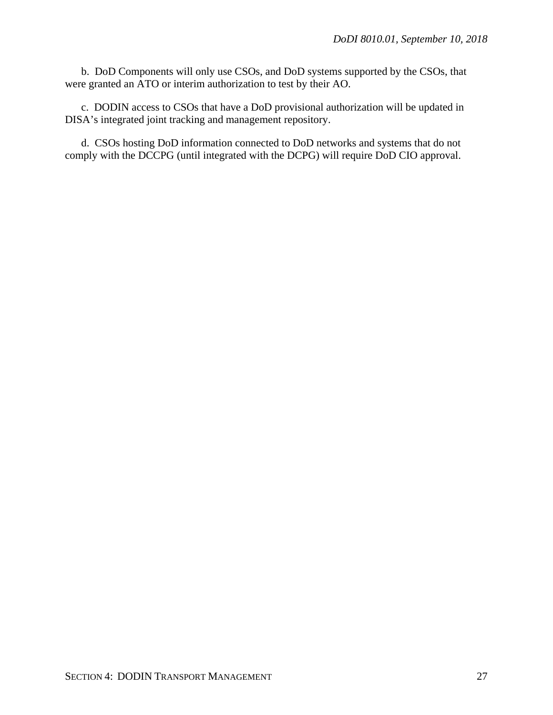b. DoD Components will only use CSOs, and DoD systems supported by the CSOs, that were granted an ATO or interim authorization to test by their AO.

c. DODIN access to CSOs that have a DoD provisional authorization will be updated in DISA's integrated joint tracking and management repository.

d. CSOs hosting DoD information connected to DoD networks and systems that do not comply with the DCCPG (until integrated with the DCPG) will require DoD CIO approval.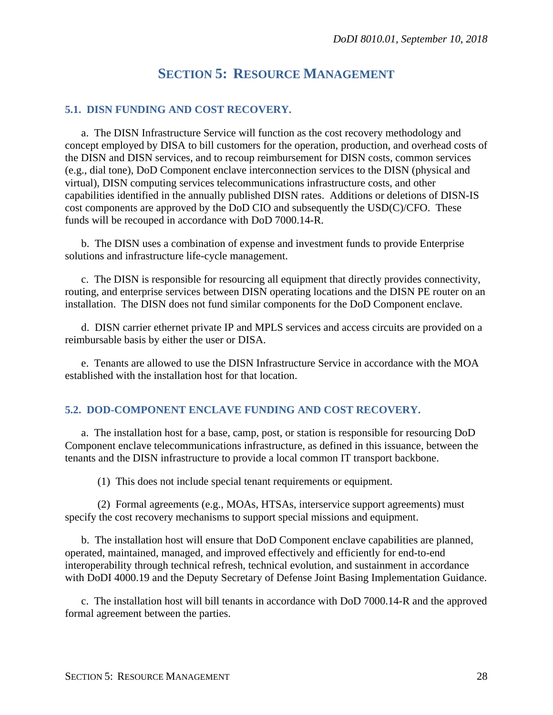# **SECTION 5: RESOURCE MANAGEMENT**

## <span id="page-27-1"></span><span id="page-27-0"></span>**5.1. DISN FUNDING AND COST RECOVERY.**

a. The DISN Infrastructure Service will function as the cost recovery methodology and concept employed by DISA to bill customers for the operation, production, and overhead costs of the DISN and DISN services, and to recoup reimbursement for DISN costs, common services (e.g., dial tone), DoD Component enclave interconnection services to the DISN (physical and virtual), DISN computing services telecommunications infrastructure costs, and other capabilities identified in the annually published DISN rates. Additions or deletions of DISN-IS cost components are approved by the DoD CIO and subsequently the USD(C)/CFO. These funds will be recouped in accordance with DoD 7000.14-R.

b. The DISN uses a combination of expense and investment funds to provide Enterprise solutions and infrastructure life-cycle management.

c. The DISN is responsible for resourcing all equipment that directly provides connectivity, routing, and enterprise services between DISN operating locations and the DISN PE router on an installation. The DISN does not fund similar components for the DoD Component enclave.

d. DISN carrier ethernet private IP and MPLS services and access circuits are provided on a reimbursable basis by either the user or DISA.

e. Tenants are allowed to use the DISN Infrastructure Service in accordance with the MOA established with the installation host for that location.

#### <span id="page-27-2"></span>**5.2. DOD-COMPONENT ENCLAVE FUNDING AND COST RECOVERY.**

a. The installation host for a base, camp, post, or station is responsible for resourcing DoD Component enclave telecommunications infrastructure, as defined in this issuance, between the tenants and the DISN infrastructure to provide a local common IT transport backbone.

(1) This does not include special tenant requirements or equipment.

(2) Formal agreements (e.g., MOAs, HTSAs, interservice support agreements) must specify the cost recovery mechanisms to support special missions and equipment.

b. The installation host will ensure that DoD Component enclave capabilities are planned, operated, maintained, managed, and improved effectively and efficiently for end-to-end interoperability through technical refresh, technical evolution, and sustainment in accordance with DoDI 4000.19 and the Deputy Secretary of Defense Joint Basing Implementation Guidance.

c. The installation host will bill tenants in accordance with DoD 7000.14-R and the approved formal agreement between the parties.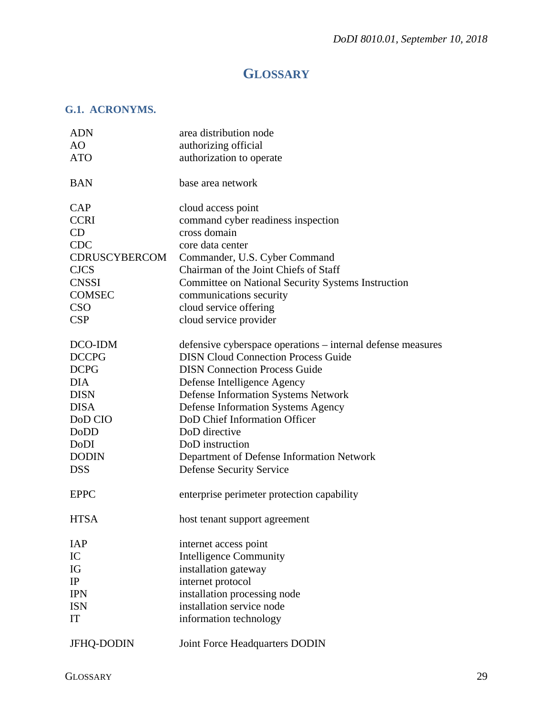# **GLOSSARY**

# <span id="page-28-1"></span><span id="page-28-0"></span>**G.1. ACRONYMS.**

| <b>ADN</b>        | area distribution node                                      |
|-------------------|-------------------------------------------------------------|
| AO                | authorizing official                                        |
| <b>ATO</b>        | authorization to operate                                    |
| <b>BAN</b>        | base area network                                           |
|                   |                                                             |
| <b>CAP</b>        | cloud access point                                          |
| <b>CCRI</b>       | command cyber readiness inspection                          |
| CD                | cross domain                                                |
| <b>CDC</b>        | core data center                                            |
| CDRUSCYBERCOM     | Commander, U.S. Cyber Command                               |
| <b>CJCS</b>       | Chairman of the Joint Chiefs of Staff                       |
| <b>CNSSI</b>      | <b>Committee on National Security Systems Instruction</b>   |
| <b>COMSEC</b>     | communications security                                     |
| <b>CSO</b>        | cloud service offering                                      |
| CSP               | cloud service provider                                      |
| DCO-IDM           | defensive cyberspace operations – internal defense measures |
| <b>DCCPG</b>      | <b>DISN Cloud Connection Process Guide</b>                  |
| <b>DCPG</b>       | <b>DISN</b> Connection Process Guide                        |
| <b>DIA</b>        | Defense Intelligence Agency                                 |
| <b>DISN</b>       | <b>Defense Information Systems Network</b>                  |
| <b>DISA</b>       | <b>Defense Information Systems Agency</b>                   |
| DoD CIO           | DoD Chief Information Officer                               |
| DoDD              | DoD directive                                               |
| DoDI              | DoD instruction                                             |
| <b>DODIN</b>      | Department of Defense Information Network                   |
| <b>DSS</b>        | <b>Defense Security Service</b>                             |
| <b>EPPC</b>       | enterprise perimeter protection capability                  |
| <b>HTSA</b>       | host tenant support agreement                               |
| <b>IAP</b>        | internet access point                                       |
| ${\rm IC}$        | <b>Intelligence Community</b>                               |
| $\rm IG$          | installation gateway                                        |
| $\rm IP$          | internet protocol                                           |
| <b>IPN</b>        | installation processing node                                |
| <b>ISN</b>        | installation service node                                   |
| IT                | information technology                                      |
|                   |                                                             |
| <b>JFHQ-DODIN</b> | Joint Force Headquarters DODIN                              |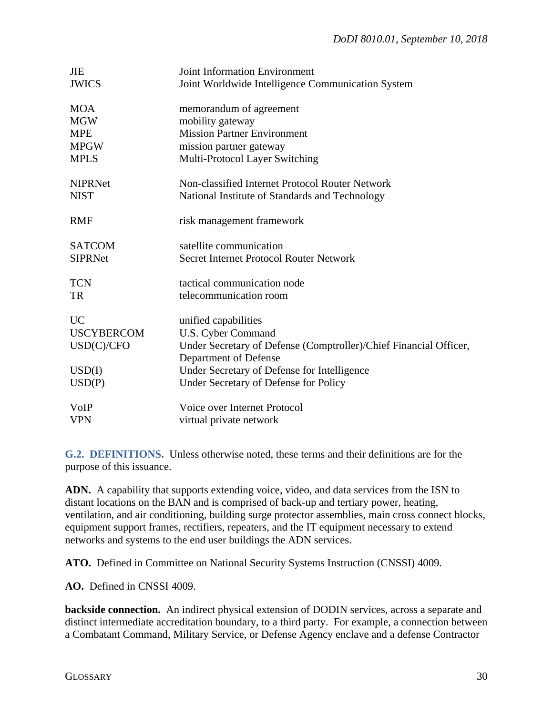| <b>JIE</b><br><b>JWICS</b>      | <b>Joint Information Environment</b><br>Joint Worldwide Intelligence Communication System         |
|---------------------------------|---------------------------------------------------------------------------------------------------|
| <b>MOA</b><br><b>MGW</b>        | memorandum of agreement<br>mobility gateway                                                       |
| <b>MPE</b>                      | <b>Mission Partner Environment</b>                                                                |
| <b>MPGW</b>                     | mission partner gateway                                                                           |
| <b>MPLS</b>                     | Multi-Protocol Layer Switching                                                                    |
| <b>NIPRNet</b><br><b>NIST</b>   | Non-classified Internet Protocol Router Network<br>National Institute of Standards and Technology |
| <b>RMF</b>                      | risk management framework                                                                         |
| <b>SATCOM</b><br><b>SIPRNet</b> | satellite communication<br>Secret Internet Protocol Router Network                                |
| <b>TCN</b><br><b>TR</b>         | tactical communication node<br>telecommunication room                                             |
| <b>UC</b>                       | unified capabilities                                                                              |
| <b>USCYBERCOM</b>               | U.S. Cyber Command                                                                                |
| USD(C)/CFO                      | Under Secretary of Defense (Comptroller)/Chief Financial Officer,                                 |
|                                 | Department of Defense                                                                             |
| USD(I)                          | Under Secretary of Defense for Intelligence                                                       |
| USD(P)                          | Under Secretary of Defense for Policy                                                             |
| <b>VoIP</b>                     | Voice over Internet Protocol                                                                      |
| <b>VPN</b>                      | virtual private network                                                                           |

<span id="page-29-0"></span>**G.2. DEFINITIONS.** Unless otherwise noted, these terms and their definitions are for the purpose of this issuance.

**ADN.** A capability that supports extending voice, video, and data services from the ISN to distant locations on the BAN and is comprised of back-up and tertiary power, heating, ventilation, and air conditioning, building surge protector assemblies, main cross connect blocks, equipment support frames, rectifiers, repeaters, and the IT equipment necessary to extend networks and systems to the end user buildings the ADN services.

**ATO.** Defined in Committee on National Security Systems Instruction (CNSSI) 4009.

**AO.** Defined in CNSSI 4009.

**backside connection.** An indirect physical extension of DODIN services, across a separate and distinct intermediate accreditation boundary, to a third party. For example, a connection between a Combatant Command, Military Service, or Defense Agency enclave and a defense Contractor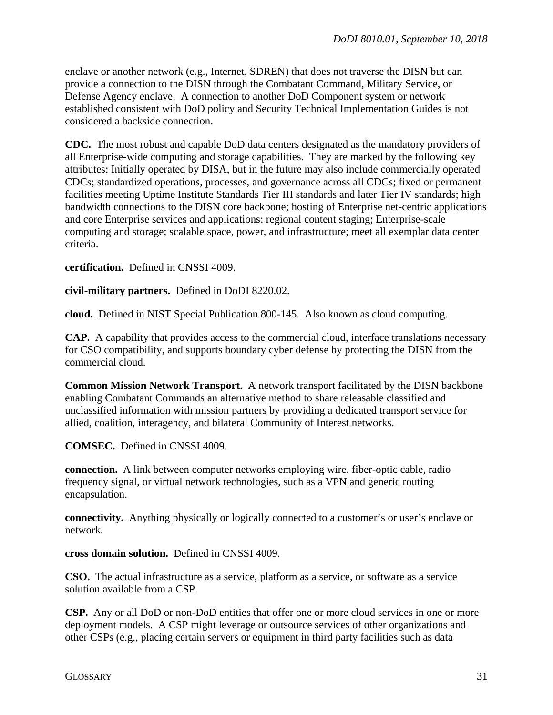enclave or another network (e.g., Internet, SDREN) that does not traverse the DISN but can provide a connection to the DISN through the Combatant Command, Military Service, or Defense Agency enclave. A connection to another DoD Component system or network established consistent with DoD policy and Security Technical Implementation Guides is not considered a backside connection.

**CDC.** The most robust and capable DoD data centers designated as the mandatory providers of all Enterprise-wide computing and storage capabilities. They are marked by the following key attributes: Initially operated by DISA, but in the future may also include commercially operated CDCs; standardized operations, processes, and governance across all CDCs; fixed or permanent facilities meeting Uptime Institute Standards Tier III standards and later Tier IV standards; high bandwidth connections to the DISN core backbone; hosting of Enterprise net-centric applications and core Enterprise services and applications; regional content staging; Enterprise-scale computing and storage; scalable space, power, and infrastructure; meet all exemplar data center criteria.

### **certification.** Defined in CNSSI 4009.

### **civil-military partners.** Defined in DoDI 8220.02.

**cloud.** Defined in NIST Special Publication 800-145. Also known as cloud computing.

**CAP.** A capability that provides access to the commercial cloud, interface translations necessary for CSO compatibility, and supports boundary cyber defense by protecting the DISN from the commercial cloud.

**Common Mission Network Transport.** A network transport facilitated by the DISN backbone enabling Combatant Commands an alternative method to share releasable classified and unclassified information with mission partners by providing a dedicated transport service for allied, coalition, interagency, and bilateral Community of Interest networks.

**COMSEC.** Defined in CNSSI 4009.

**connection.** A link between computer networks employing wire, fiber-optic cable, radio frequency signal, or virtual network technologies, such as a VPN and generic routing encapsulation.

**connectivity.** Anything physically or logically connected to a customer's or user's enclave or network.

#### **cross domain solution.** Defined in CNSSI 4009.

**CSO.** The actual infrastructure as a service, platform as a service, or software as a service solution available from a CSP.

**CSP.** Any or all DoD or non-DoD entities that offer one or more cloud services in one or more deployment models. A CSP might leverage or outsource services of other organizations and other CSPs (e.g., placing certain servers or equipment in third party facilities such as data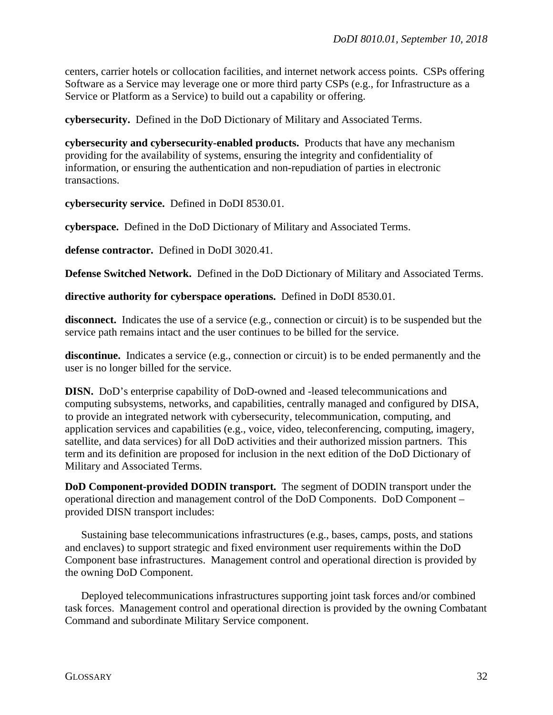centers, carrier hotels or collocation facilities, and internet network access points. CSPs offering Software as a Service may leverage one or more third party CSPs (e.g., for Infrastructure as a Service or Platform as a Service) to build out a capability or offering.

**cybersecurity.** Defined in the DoD Dictionary of Military and Associated Terms.

**cybersecurity and cybersecurity-enabled products.** Products that have any mechanism providing for the availability of systems, ensuring the integrity and confidentiality of information, or ensuring the authentication and non-repudiation of parties in electronic transactions.

**cybersecurity service.** Defined in DoDI 8530.01.

**cyberspace.** Defined in the DoD Dictionary of Military and Associated Terms.

**defense contractor.** Defined in DoDI 3020.41.

**Defense Switched Network.** Defined in the DoD Dictionary of Military and Associated Terms.

**directive authority for cyberspace operations.** Defined in DoDI 8530.01.

disconnect. Indicates the use of a service (e.g., connection or circuit) is to be suspended but the service path remains intact and the user continues to be billed for the service.

**discontinue.** Indicates a service (e.g., connection or circuit) is to be ended permanently and the user is no longer billed for the service.

**DISN.** DoD's enterprise capability of DoD-owned and -leased telecommunications and computing subsystems, networks, and capabilities, centrally managed and configured by DISA, to provide an integrated network with cybersecurity, telecommunication, computing, and application services and capabilities (e.g., voice, video, teleconferencing, computing, imagery, satellite, and data services) for all DoD activities and their authorized mission partners. This term and its definition are proposed for inclusion in the next edition of the DoD Dictionary of Military and Associated Terms.

**DoD Component-provided DODIN transport.** The segment of DODIN transport under the operational direction and management control of the DoD Components. DoD Component – provided DISN transport includes:

Sustaining base telecommunications infrastructures (e.g., bases, camps, posts, and stations and enclaves) to support strategic and fixed environment user requirements within the DoD Component base infrastructures. Management control and operational direction is provided by the owning DoD Component.

Deployed telecommunications infrastructures supporting joint task forces and/or combined task forces. Management control and operational direction is provided by the owning Combatant Command and subordinate Military Service component.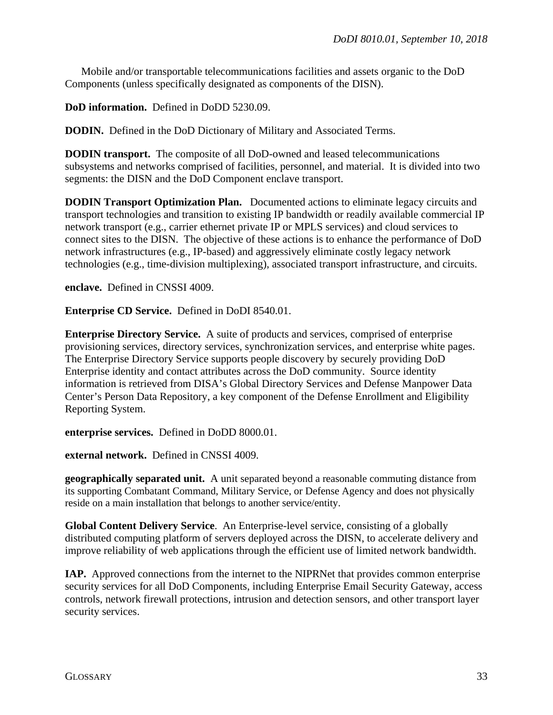Mobile and/or transportable telecommunications facilities and assets organic to the DoD Components (unless specifically designated as components of the DISN).

**DoD information.** Defined in DoDD 5230.09.

**DODIN.** Defined in the DoD Dictionary of Military and Associated Terms.

**DODIN transport.** The composite of all DoD-owned and leased telecommunications subsystems and networks comprised of facilities, personnel, and material. It is divided into two segments: the DISN and the DoD Component enclave transport.

**DODIN Transport Optimization Plan.** Documented actions to eliminate legacy circuits and transport technologies and transition to existing IP bandwidth or readily available commercial IP network transport (e.g., carrier ethernet private IP or MPLS services) and cloud services to connect sites to the DISN. The objective of these actions is to enhance the performance of DoD network infrastructures (e.g., IP-based) and aggressively eliminate costly legacy network technologies (e.g., time-division multiplexing), associated transport infrastructure, and circuits.

**enclave.** Defined in CNSSI 4009.

**Enterprise CD Service.** Defined in DoDI 8540.01.

**Enterprise Directory Service.** A suite of products and services, comprised of enterprise provisioning services, directory services, synchronization services, and enterprise white pages. The Enterprise Directory Service supports people discovery by securely providing DoD Enterprise identity and contact attributes across the DoD community. Source identity information is retrieved from DISA's Global Directory Services and Defense Manpower Data Center's Person Data Repository, a key component of the Defense Enrollment and Eligibility Reporting System.

**enterprise services.** Defined in DoDD 8000.01.

**external network.** Defined in CNSSI 4009.

**geographically separated unit.** A unit separated beyond a reasonable commuting distance from its supporting Combatant Command, Military Service, or Defense Agency and does not physically reside on a main installation that belongs to another service/entity.

**Global Content Delivery Service**. An Enterprise-level service, consisting of a globally distributed computing platform of servers deployed across the DISN, to accelerate delivery and improve reliability of web applications through the efficient use of limited network bandwidth.

**IAP.** Approved connections from the internet to the NIPRNet that provides common enterprise security services for all DoD Components, including Enterprise Email Security Gateway, access controls, network firewall protections, intrusion and detection sensors, and other transport layer security services.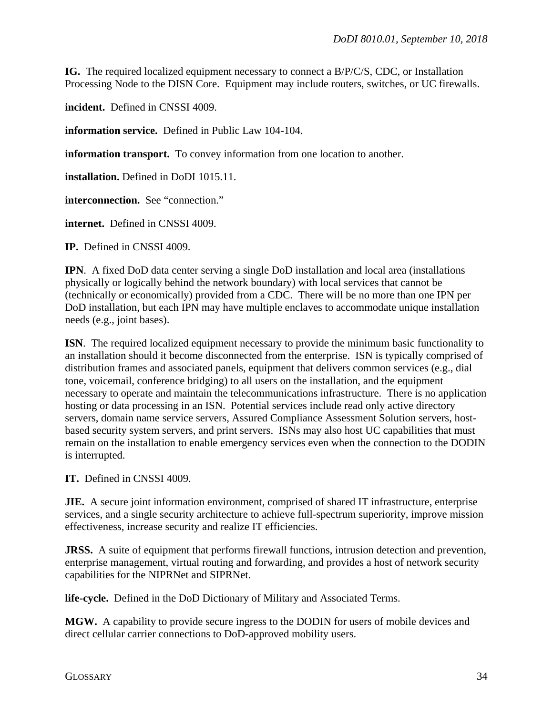**IG.** The required localized equipment necessary to connect a B/P/C/S, CDC, or Installation Processing Node to the DISN Core. Equipment may include routers, switches, or UC firewalls.

**incident.** Defined in CNSSI 4009.

**information service.** Defined in Public Law 104-104.

**information transport.** To convey information from one location to another.

**installation.** Defined in DoDI 1015.11.

**interconnection.** See "connection."

**internet.** Defined in CNSSI 4009.

**IP.** Defined in CNSSI 4009.

**IPN**. A fixed DoD data center serving a single DoD installation and local area (installations physically or logically behind the network boundary) with local services that cannot be (technically or economically) provided from a CDC. There will be no more than one IPN per DoD installation, but each IPN may have multiple enclaves to accommodate unique installation needs (e.g., joint bases).

**ISN**. The required localized equipment necessary to provide the minimum basic functionality to an installation should it become disconnected from the enterprise. ISN is typically comprised of distribution frames and associated panels, equipment that delivers common services (e.g., dial tone, voicemail, conference bridging) to all users on the installation, and the equipment necessary to operate and maintain the telecommunications infrastructure. There is no application hosting or data processing in an ISN. Potential services include read only active directory servers, domain name service servers, Assured Compliance Assessment Solution servers, hostbased security system servers, and print servers. ISNs may also host UC capabilities that must remain on the installation to enable emergency services even when the connection to the DODIN is interrupted.

**IT.** Defined in CNSSI 4009.

**JIE.** A secure joint information environment, comprised of shared IT infrastructure, enterprise services, and a single security architecture to achieve full-spectrum superiority, improve mission effectiveness, increase security and realize IT efficiencies.

**JRSS.** A suite of equipment that performs firewall functions, intrusion detection and prevention, enterprise management, virtual routing and forwarding, and provides a host of network security capabilities for the NIPRNet and SIPRNet.

**life-cycle.** Defined in the DoD Dictionary of Military and Associated Terms.

**MGW.** A capability to provide secure ingress to the DODIN for users of mobile devices and direct cellular carrier connections to DoD-approved mobility users.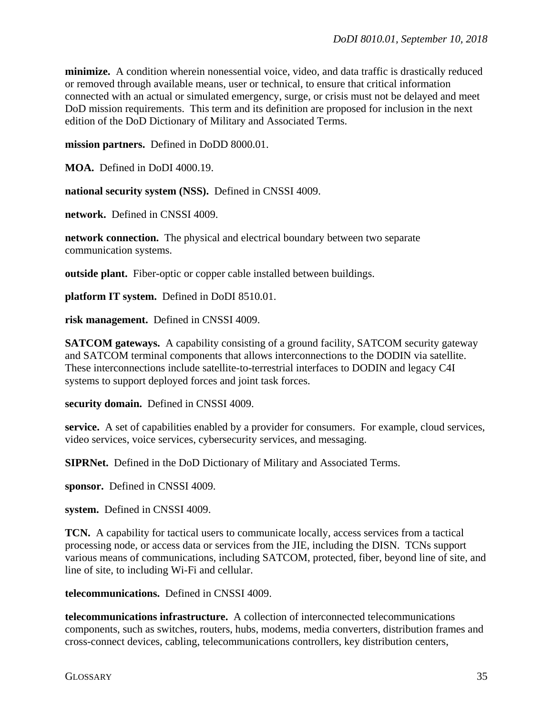**minimize.** A condition wherein nonessential voice, video, and data traffic is drastically reduced or removed through available means, user or technical, to ensure that critical information connected with an actual or simulated emergency, surge, or crisis must not be delayed and meet DoD mission requirements. This term and its definition are proposed for inclusion in the next edition of the DoD Dictionary of Military and Associated Terms.

**mission partners.** Defined in DoDD 8000.01.

**MOA.** Defined in DoDI 4000.19.

**national security system (NSS).** Defined in CNSSI 4009.

**network.** Defined in CNSSI 4009.

**network connection.** The physical and electrical boundary between two separate communication systems.

**outside plant.** Fiber-optic or copper cable installed between buildings.

**platform IT system.** Defined in DoDI 8510.01.

**risk management.** Defined in CNSSI 4009.

**SATCOM gateways.** A capability consisting of a ground facility, SATCOM security gateway and SATCOM terminal components that allows interconnections to the DODIN via satellite. These interconnections include satellite-to-terrestrial interfaces to DODIN and legacy C4I systems to support deployed forces and joint task forces.

**security domain.** Defined in CNSSI 4009.

service. A set of capabilities enabled by a provider for consumers. For example, cloud services, video services, voice services, cybersecurity services, and messaging.

**SIPRNet.** Defined in the DoD Dictionary of Military and Associated Terms.

**sponsor.** Defined in CNSSI 4009.

**system.** Defined in CNSSI 4009.

**TCN.** A capability for tactical users to communicate locally, access services from a tactical processing node, or access data or services from the JIE, including the DISN. TCNs support various means of communications, including SATCOM, protected, fiber, beyond line of site, and line of site, to including Wi-Fi and cellular.

**telecommunications.** Defined in CNSSI 4009.

**telecommunications infrastructure.** A collection of interconnected telecommunications components, such as switches, routers, hubs, modems, media converters, distribution frames and cross-connect devices, cabling, telecommunications controllers, key distribution centers,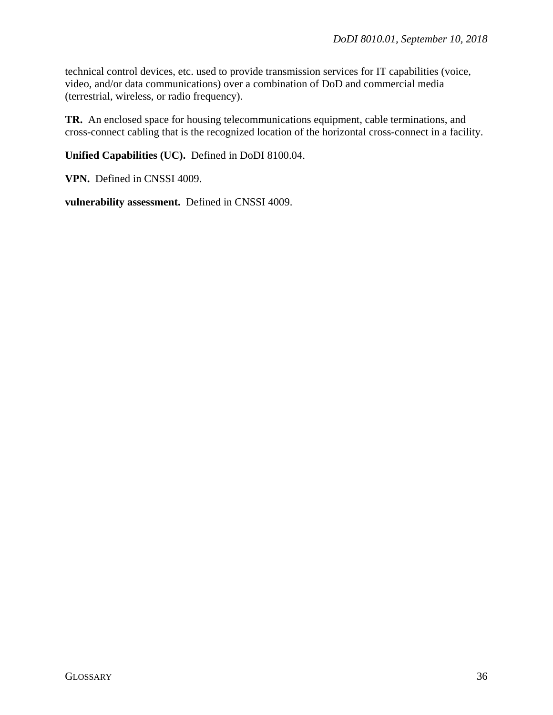technical control devices, etc. used to provide transmission services for IT capabilities (voice, video, and/or data communications) over a combination of DoD and commercial media (terrestrial, wireless, or radio frequency).

**TR.** An enclosed space for housing telecommunications equipment, cable terminations, and cross-connect cabling that is the recognized location of the horizontal cross-connect in a facility.

**Unified Capabilities (UC).** Defined in DoDI 8100.04.

**VPN.** Defined in CNSSI 4009.

**vulnerability assessment.** Defined in CNSSI 4009.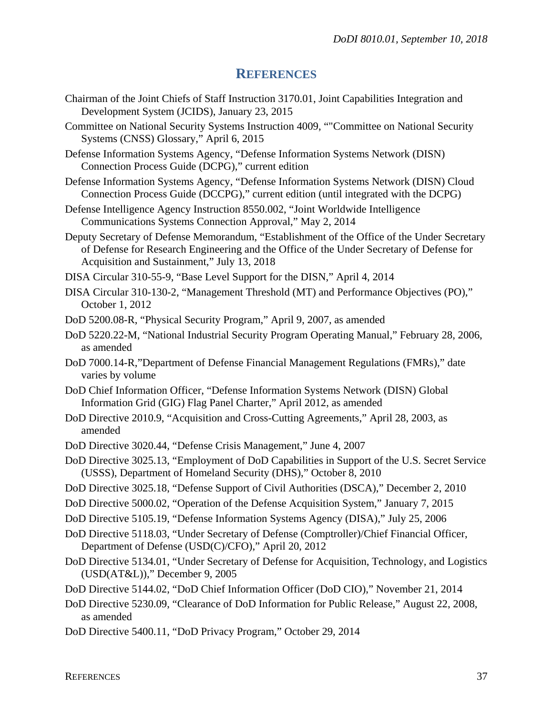# **REFERENCES**

- <span id="page-36-0"></span>Chairman of the Joint Chiefs of Staff Instruction 3170.01, Joint Capabilities Integration and Development System (JCIDS), January 23, 2015
- Committee on National Security Systems Instruction 4009, ""Committee on National Security Systems (CNSS) Glossary," April 6, 2015
- Defense Information Systems Agency, "Defense Information Systems Network (DISN) Connection Process Guide (DCPG)," current edition
- Defense Information Systems Agency, "Defense Information Systems Network (DISN) Cloud Connection Process Guide (DCCPG)," current edition (until integrated with the DCPG)
- Defense Intelligence Agency Instruction 8550.002, "Joint Worldwide Intelligence Communications Systems Connection Approval," May 2, 2014
- Deputy Secretary of Defense Memorandum, "Establishment of the Office of the Under Secretary of Defense for Research Engineering and the Office of the Under Secretary of Defense for Acquisition and Sustainment," July 13, 2018
- DISA Circular 310-55-9, "Base Level Support for the DISN," April 4, 2014
- DISA Circular 310-130-2, "Management Threshold (MT) and Performance Objectives (PO)," October 1, 2012
- DoD 5200.08-R, "Physical Security Program," April 9, 2007, as amended
- DoD 5220.22-M, "National Industrial Security Program Operating Manual," February 28, 2006, as amended
- DoD 7000.14-R,"Department of Defense Financial Management Regulations (FMRs)," date varies by volume
- DoD Chief Information Officer, "Defense Information Systems Network (DISN) Global Information Grid (GIG) Flag Panel Charter," April 2012, as amended
- DoD Directive 2010.9, "Acquisition and Cross-Cutting Agreements," April 28, 2003, as amended
- DoD Directive 3020.44, "Defense Crisis Management," June 4, 2007
- DoD Directive 3025.13, "Employment of DoD Capabilities in Support of the U.S. Secret Service (USSS), Department of Homeland Security (DHS)," October 8, 2010
- DoD Directive 3025.18, "Defense Support of Civil Authorities (DSCA)," December 2, 2010
- DoD Directive 5000.02, "Operation of the Defense Acquisition System," January 7, 2015
- DoD Directive 5105.19, "Defense Information Systems Agency (DISA)," July 25, 2006
- DoD Directive 5118.03, "Under Secretary of Defense (Comptroller)/Chief Financial Officer, Department of Defense (USD(C)/CFO)," April 20, 2012
- DoD Directive 5134.01, "Under Secretary of Defense for Acquisition, Technology, and Logistics (USD(AT&L))," December 9, 2005
- DoD Directive 5144.02, "DoD Chief Information Officer (DoD CIO)," November 21, 2014
- DoD Directive 5230.09, "Clearance of DoD Information for Public Release," August 22, 2008, as amended
- DoD Directive 5400.11, "DoD Privacy Program," October 29, 2014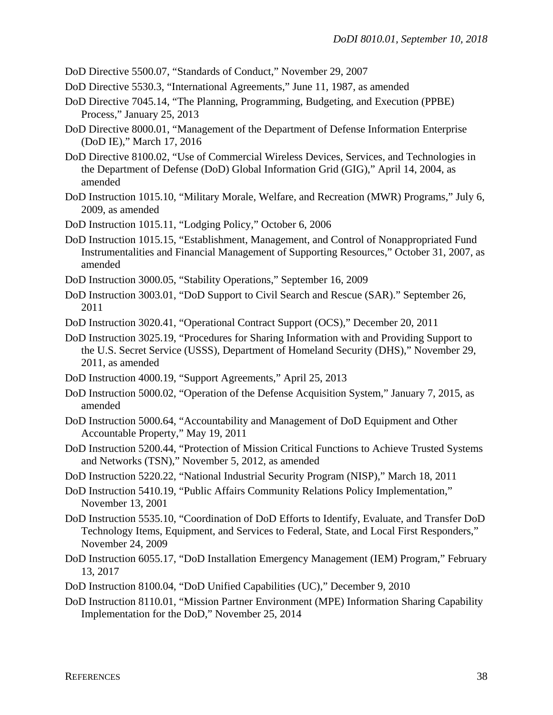DoD Directive 5500.07, "Standards of Conduct," November 29, 2007

- DoD Directive 5530.3, "International Agreements," June 11, 1987, as amended
- DoD Directive 7045.14, "The Planning, Programming, Budgeting, and Execution (PPBE) Process," January 25, 2013
- DoD Directive 8000.01, "Management of the Department of Defense Information Enterprise (DoD IE)," March 17, 2016
- DoD Directive 8100.02, "Use of Commercial Wireless Devices, Services, and Technologies in the Department of Defense (DoD) Global Information Grid (GIG)," April 14, 2004, as amended
- DoD Instruction 1015.10, "Military Morale, Welfare, and Recreation (MWR) Programs," July 6, 2009, as amended
- DoD Instruction 1015.11, "Lodging Policy," October 6, 2006
- DoD Instruction 1015.15, "Establishment, Management, and Control of Nonappropriated Fund Instrumentalities and Financial Management of Supporting Resources," October 31, 2007, as amended
- DoD Instruction 3000.05, "Stability Operations," September 16, 2009
- DoD Instruction 3003.01, "DoD Support to Civil Search and Rescue (SAR)." September 26, 2011
- DoD Instruction 3020.41, "Operational Contract Support (OCS)," December 20, 2011
- DoD Instruction 3025.19, "Procedures for Sharing Information with and Providing Support to the U.S. Secret Service (USSS), Department of Homeland Security (DHS)," November 29, 2011, as amended
- DoD Instruction 4000.19, "Support Agreements," April 25, 2013
- DoD Instruction 5000.02, "Operation of the Defense Acquisition System," January 7, 2015, as amended
- DoD Instruction 5000.64, "Accountability and Management of DoD Equipment and Other Accountable Property," May 19, 2011
- DoD Instruction 5200.44, "Protection of Mission Critical Functions to Achieve Trusted Systems and Networks (TSN)," November 5, 2012, as amended
- DoD Instruction 5220.22, "National Industrial Security Program (NISP)," March 18, 2011
- DoD Instruction 5410.19, "Public Affairs Community Relations Policy Implementation," November 13, 2001
- DoD Instruction 5535.10, "Coordination of DoD Efforts to Identify, Evaluate, and Transfer DoD Technology Items, Equipment, and Services to Federal, State, and Local First Responders," November 24, 2009
- DoD Instruction 6055.17, "DoD Installation Emergency Management (IEM) Program," February 13, 2017
- DoD Instruction 8100.04, "DoD Unified Capabilities (UC)," December 9, 2010
- DoD Instruction 8110.01, "Mission Partner Environment (MPE) Information Sharing Capability Implementation for the DoD," November 25, 2014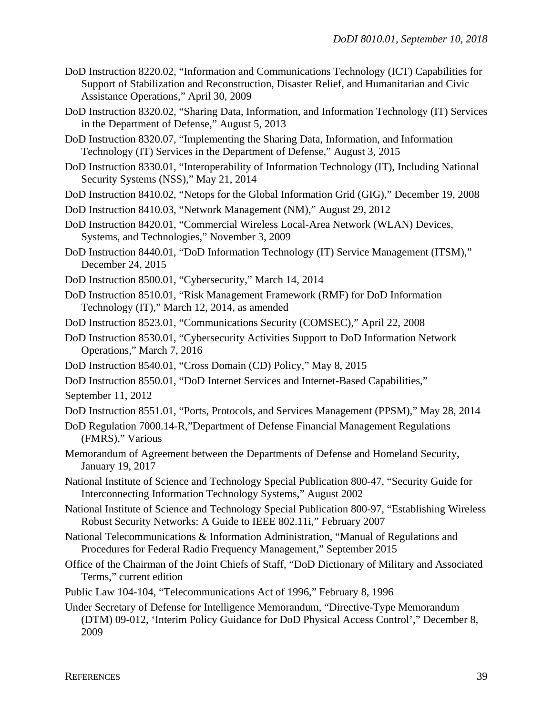- DoD Instruction 8220.02, "Information and Communications Technology (ICT) Capabilities for Support of Stabilization and Reconstruction, Disaster Relief, and Humanitarian and Civic Assistance Operations," April 30, 2009
- DoD Instruction 8320.02, "Sharing Data, Information, and Information Technology (IT) Services in the Department of Defense," August 5, 2013
- DoD Instruction 8320.07, "Implementing the Sharing Data, Information, and Information Technology (IT) Services in the Department of Defense," August 3, 2015
- DoD Instruction 8330.01, "Interoperability of Information Technology (IT), Including National Security Systems (NSS)," May 21, 2014
- DoD Instruction 8410.02, "Netops for the Global Information Grid (GIG)," December 19, 2008
- DoD Instruction 8410.03, "Network Management (NM)," August 29, 2012
- DoD Instruction 8420.01, "Commercial Wireless Local-Area Network (WLAN) Devices, Systems, and Technologies," November 3, 2009
- DoD Instruction 8440.01, "DoD Information Technology (IT) Service Management (ITSM)," December 24, 2015
- DoD Instruction 8500.01, "Cybersecurity," March 14, 2014
- DoD Instruction 8510.01, "Risk Management Framework (RMF) for DoD Information Technology (IT)," March 12, 2014, as amended
- DoD Instruction 8523.01, "Communications Security (COMSEC)," April 22, 2008
- DoD Instruction 8530.01, "Cybersecurity Activities Support to DoD Information Network Operations," March 7, 2016
- DoD Instruction 8540.01, "Cross Domain (CD) Policy," May 8, 2015
- DoD Instruction 8550.01, "DoD Internet Services and Internet-Based Capabilities,"

September 11, 2012

- DoD Instruction 8551.01, "Ports, Protocols, and Services Management (PPSM)," May 28, 2014
- DoD Regulation 7000.14-R,"Department of Defense Financial Management Regulations (FMRS)," Various
- Memorandum of Agreement between the Departments of Defense and Homeland Security, January 19, 2017
- National Institute of Science and Technology Special Publication 800-47, "Security Guide for Interconnecting Information Technology Systems," August 2002
- National Institute of Science and Technology Special Publication 800-97, "Establishing Wireless Robust Security Networks: A Guide to IEEE 802.11i," February 2007
- National Telecommunications & Information Administration, "Manual of Regulations and Procedures for Federal Radio Frequency Management," September 2015
- Office of the Chairman of the Joint Chiefs of Staff, "DoD Dictionary of Military and Associated Terms," current edition
- Public Law 104-104, "Telecommunications Act of 1996," February 8, 1996
- Under Secretary of Defense for Intelligence Memorandum, "Directive-Type Memorandum (DTM) 09-012, 'Interim Policy Guidance for DoD Physical Access Control'," December 8, 2009